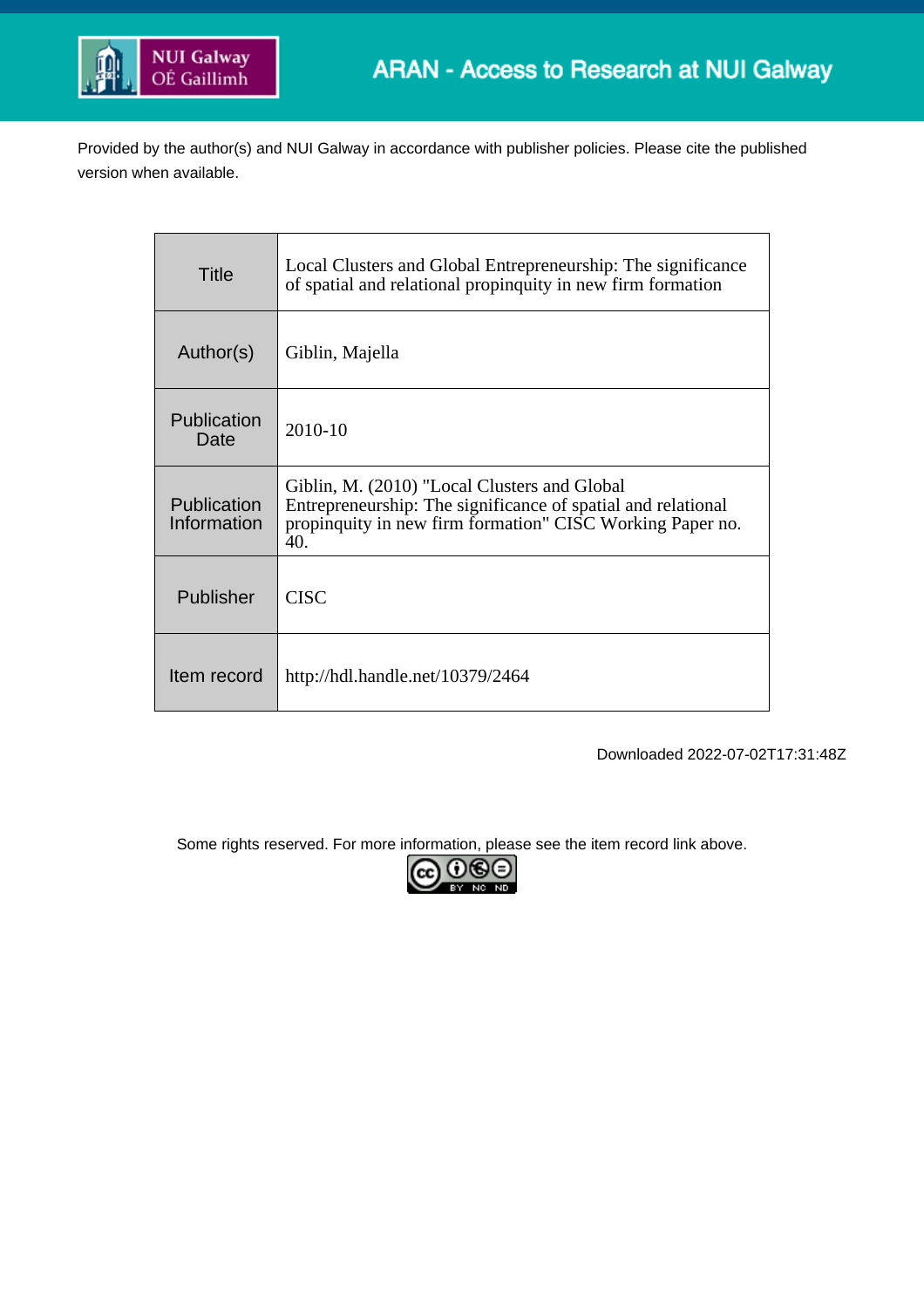

Provided by the author(s) and NUI Galway in accordance with publisher policies. Please cite the published version when available.

| <b>Title</b>                      | Local Clusters and Global Entrepreneurship: The significance<br>of spatial and relational propinguity in new firm formation                                                      |
|-----------------------------------|----------------------------------------------------------------------------------------------------------------------------------------------------------------------------------|
| Author(s)                         | Giblin, Majella                                                                                                                                                                  |
| <b>Publication</b><br>Date        | $2010 - 10$                                                                                                                                                                      |
| <b>Publication</b><br>Information | Giblin, M. (2010) "Local Clusters and Global<br>Entrepreneurship: The significance of spatial and relational<br>propinquity in new firm formation" CISC Working Paper no.<br>40. |
| Publisher                         | <b>CISC</b>                                                                                                                                                                      |
| Item record                       | http://hdl.handle.net/10379/2464                                                                                                                                                 |

Downloaded 2022-07-02T17:31:48Z

Some rights reserved. For more information, please see the item record link above.

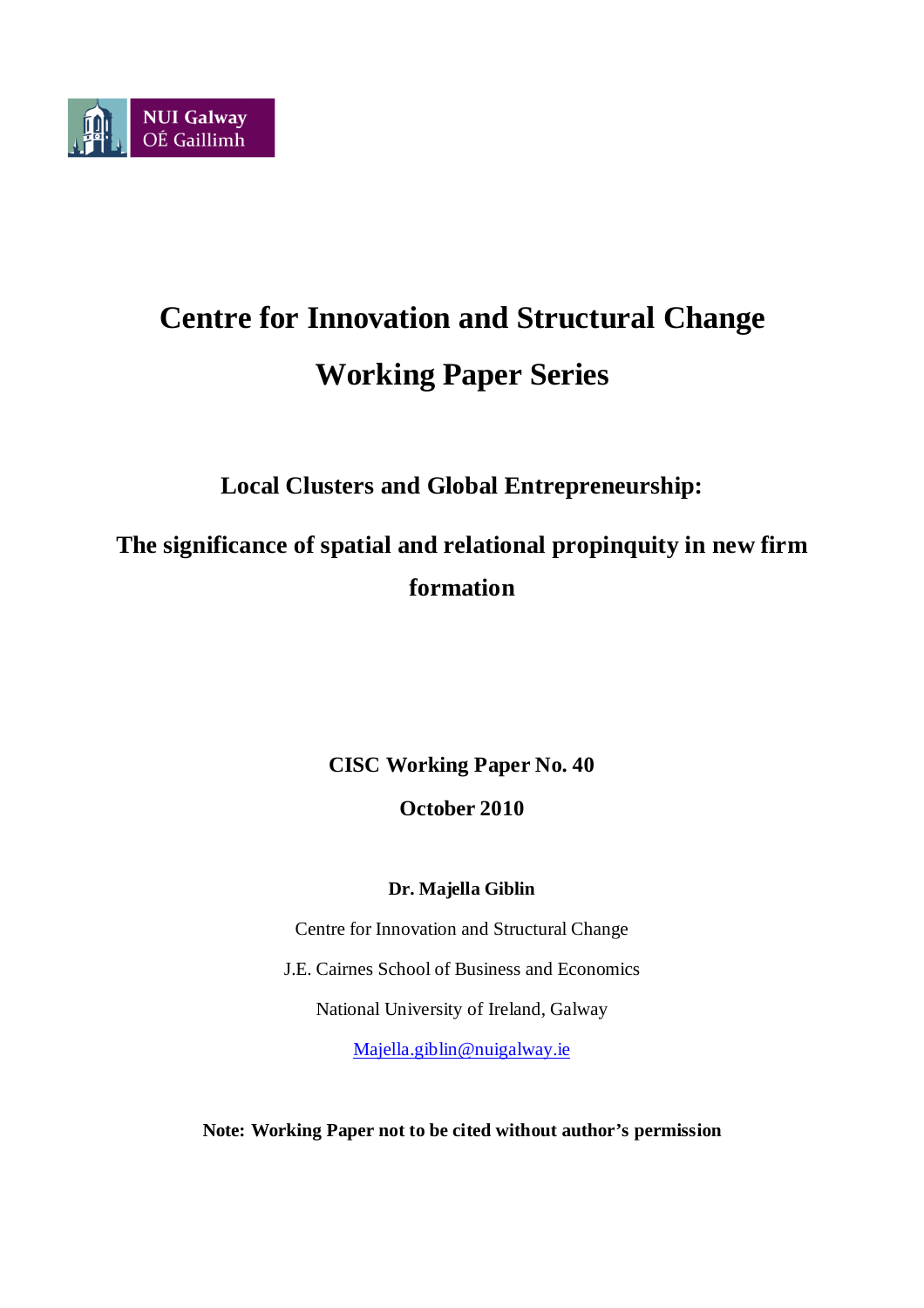

# **Centre for Innovation and Structural Change Working Paper Series**

**Local Clusters and Global Entrepreneurship:**

**The significance of spatial and relational propinquity in new firm formation**

**CISC Working Paper No. 40**

**October 2010**

# **Dr. Majella Giblin**

Centre for Innovation and Structural Change J.E. Cairnes School of Business and Economics National University of Ireland, Galway [Majella.giblin@nuigalway.ie](mailto:Majella.giblin@nuigalway.ie)

**Note: Working Paper not to be cited without author's permission**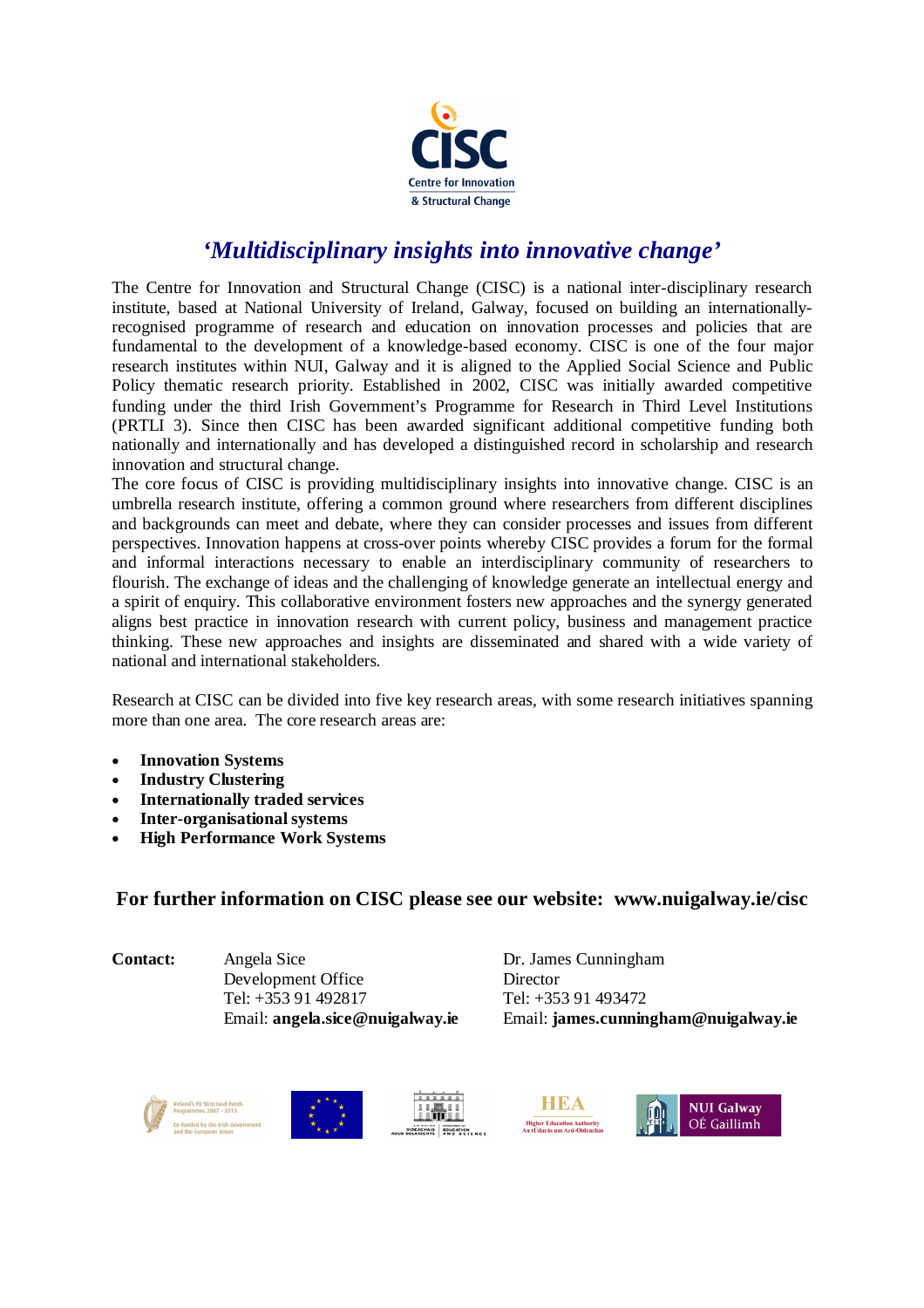

# *'Multidisciplinary insights into innovative change'*

The Centre for Innovation and Structural Change (CISC) is a national inter-disciplinary research institute, based at National University of Ireland, Galway, focused on building an internationallyrecognised programme of research and education on innovation processes and policies that are fundamental to the development of a knowledge-based economy. CISC is one of the four major research institutes within NUI, Galway and it is aligned to the Applied Social Science and Public Policy thematic research priority. Established in 2002, CISC was initially awarded competitive funding under the third Irish Government's Programme for Research in Third Level Institutions (PRTLI 3). Since then CISC has been awarded significant additional competitive funding both nationally and internationally and has developed a distinguished record in scholarship and research innovation and structural change.

The core focus of CISC is providing multidisciplinary insights into innovative change. CISC is an umbrella research institute, offering a common ground where researchers from different disciplines and backgrounds can meet and debate, where they can consider processes and issues from different perspectives. Innovation happens at cross-over points whereby CISC provides a forum for the formal and informal interactions necessary to enable an interdisciplinary community of researchers to flourish. The exchange of ideas and the challenging of knowledge generate an intellectual energy and a spirit of enquiry. This collaborative environment fosters new approaches and the synergy generated aligns best practice in innovation research with current policy, business and management practice thinking. These new approaches and insights are disseminated and shared with a wide variety of national and international stakeholders.

Research at CISC can be divided into five key research areas, with some research initiatives spanning more than one area. The core research areas are:

- **Innovation Systems**
- **Industry Clustering**
- **Internationally traded services**
- **Inter-organisational systems**
- **High Performance Work Systems**

## **For further information on CISC please see our website: www.nuigalway.ie/cisc**

**Contact:** Angela Sice Dr. James Cunningham Development Office Director Tel: +353 91 492817 Tel: +353 91 493472

Email: **angela.sice@nuigalway.ie** Email: **james.cunningham@nuigalway.ie**







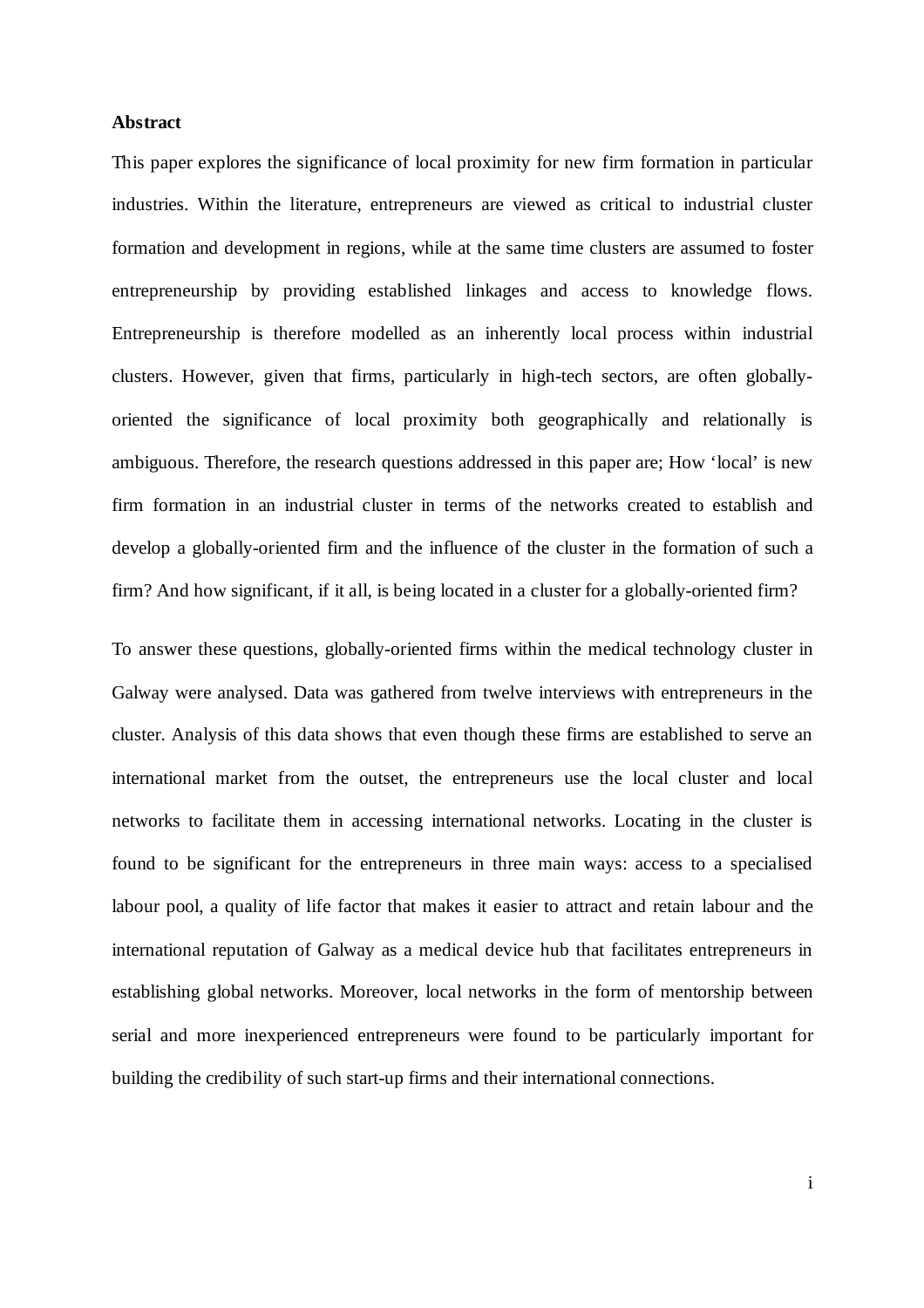#### **Abstract**

This paper explores the significance of local proximity for new firm formation in particular industries. Within the literature, entrepreneurs are viewed as critical to industrial cluster formation and development in regions, while at the same time clusters are assumed to foster entrepreneurship by providing established linkages and access to knowledge flows. Entrepreneurship is therefore modelled as an inherently local process within industrial clusters. However, given that firms, particularly in high-tech sectors, are often globallyoriented the significance of local proximity both geographically and relationally is ambiguous. Therefore, the research questions addressed in this paper are; How 'local' is new firm formation in an industrial cluster in terms of the networks created to establish and develop a globally-oriented firm and the influence of the cluster in the formation of such a firm? And how significant, if it all, is being located in a cluster for a globally-oriented firm?

To answer these questions, globally-oriented firms within the medical technology cluster in Galway were analysed. Data was gathered from twelve interviews with entrepreneurs in the cluster. Analysis of this data shows that even though these firms are established to serve an international market from the outset, the entrepreneurs use the local cluster and local networks to facilitate them in accessing international networks. Locating in the cluster is found to be significant for the entrepreneurs in three main ways: access to a specialised labour pool, a quality of life factor that makes it easier to attract and retain labour and the international reputation of Galway as a medical device hub that facilitates entrepreneurs in establishing global networks. Moreover, local networks in the form of mentorship between serial and more inexperienced entrepreneurs were found to be particularly important for building the credibility of such start-up firms and their international connections.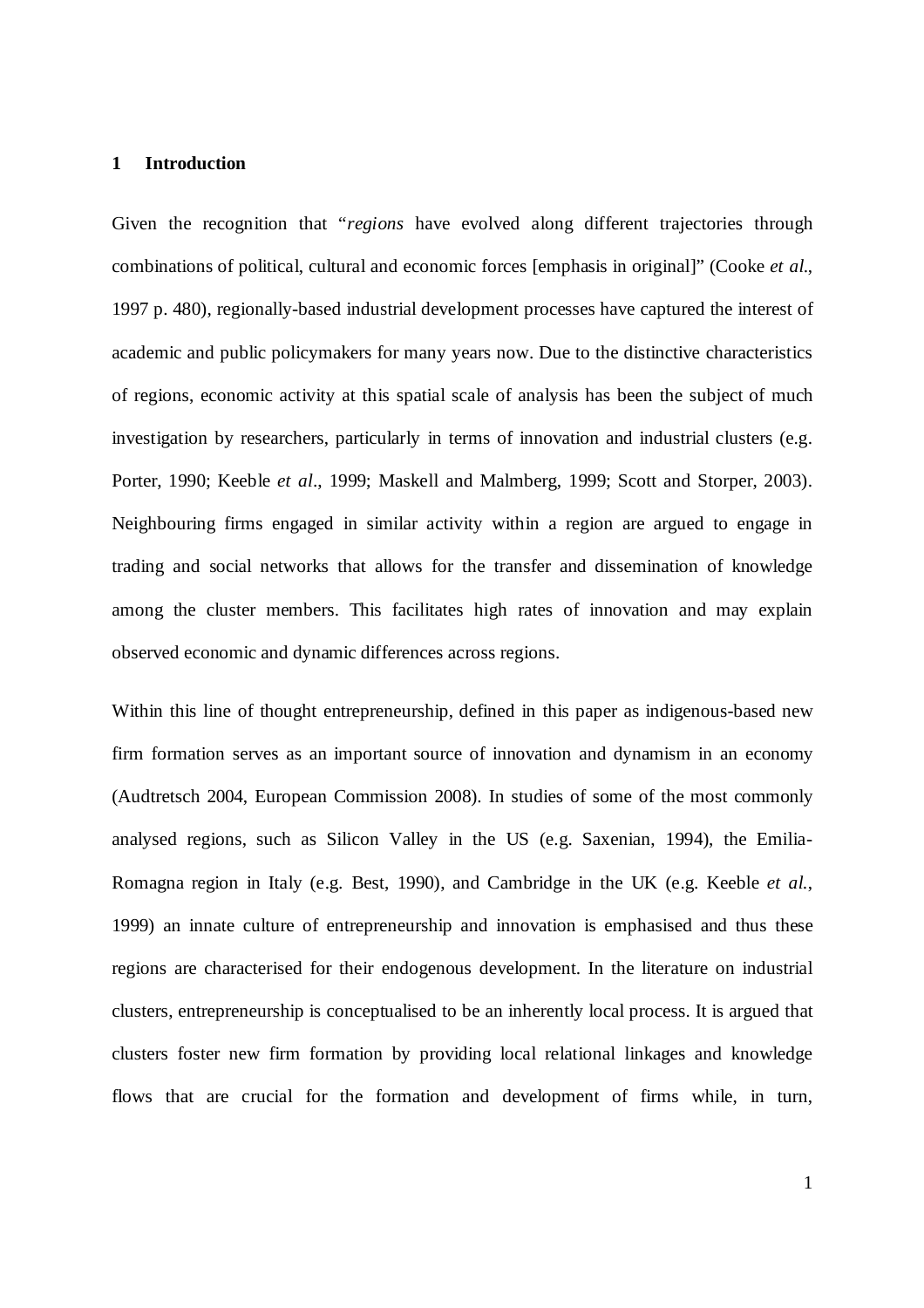#### **1 Introduction**

Given the recognition that "*regions* have evolved along different trajectories through combinations of political, cultural and economic forces [emphasis in original]" (Cooke *et al*., 1997 p. 480), regionally-based industrial development processes have captured the interest of academic and public policymakers for many years now. Due to the distinctive characteristics of regions, economic activity at this spatial scale of analysis has been the subject of much investigation by researchers, particularly in terms of innovation and industrial clusters (e.g. Porter, 1990; Keeble *et al*., 1999; Maskell and Malmberg, 1999; Scott and Storper, 2003). Neighbouring firms engaged in similar activity within a region are argued to engage in trading and social networks that allows for the transfer and dissemination of knowledge among the cluster members. This facilitates high rates of innovation and may explain observed economic and dynamic differences across regions.

Within this line of thought entrepreneurship, defined in this paper as indigenous-based new firm formation serves as an important source of innovation and dynamism in an economy (Audtretsch 2004, European Commission 2008). In studies of some of the most commonly analysed regions, such as Silicon Valley in the US (e.g. Saxenian, 1994), the Emilia-Romagna region in Italy (e.g. Best, 1990), and Cambridge in the UK (e.g. Keeble *et al*., 1999) an innate culture of entrepreneurship and innovation is emphasised and thus these regions are characterised for their endogenous development. In the literature on industrial clusters, entrepreneurship is conceptualised to be an inherently local process. It is argued that clusters foster new firm formation by providing local relational linkages and knowledge flows that are crucial for the formation and development of firms while, in turn,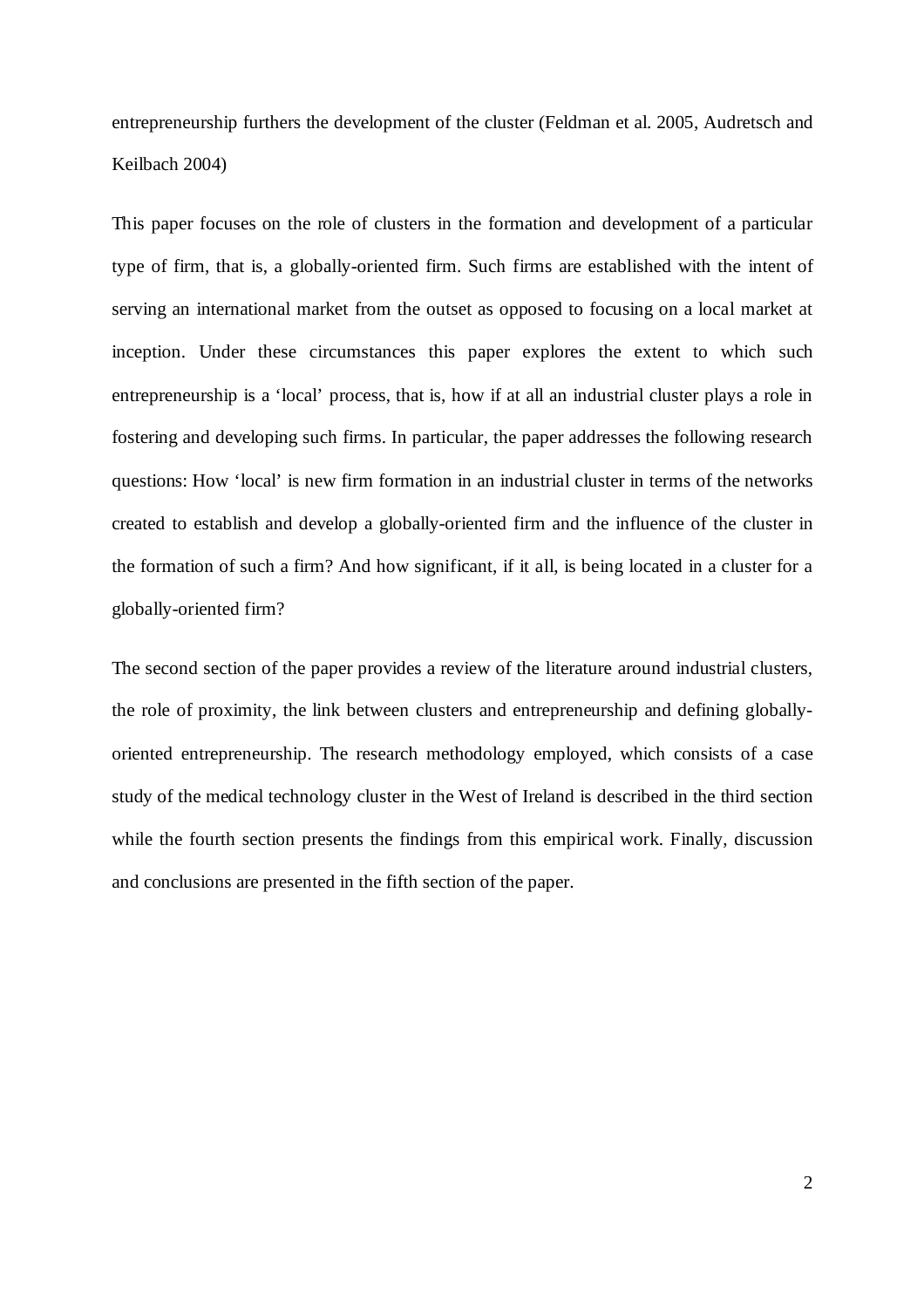entrepreneurship furthers the development of the cluster (Feldman et al. 2005, Audretsch and Keilbach 2004)

This paper focuses on the role of clusters in the formation and development of a particular type of firm, that is, a globally-oriented firm. Such firms are established with the intent of serving an international market from the outset as opposed to focusing on a local market at inception. Under these circumstances this paper explores the extent to which such entrepreneurship is a 'local' process, that is, how if at all an industrial cluster plays a role in fostering and developing such firms. In particular, the paper addresses the following research questions: How 'local' is new firm formation in an industrial cluster in terms of the networks created to establish and develop a globally-oriented firm and the influence of the cluster in the formation of such a firm? And how significant, if it all, is being located in a cluster for a globally-oriented firm?

The second section of the paper provides a review of the literature around industrial clusters, the role of proximity, the link between clusters and entrepreneurship and defining globallyoriented entrepreneurship. The research methodology employed, which consists of a case study of the medical technology cluster in the West of Ireland is described in the third section while the fourth section presents the findings from this empirical work. Finally, discussion and conclusions are presented in the fifth section of the paper.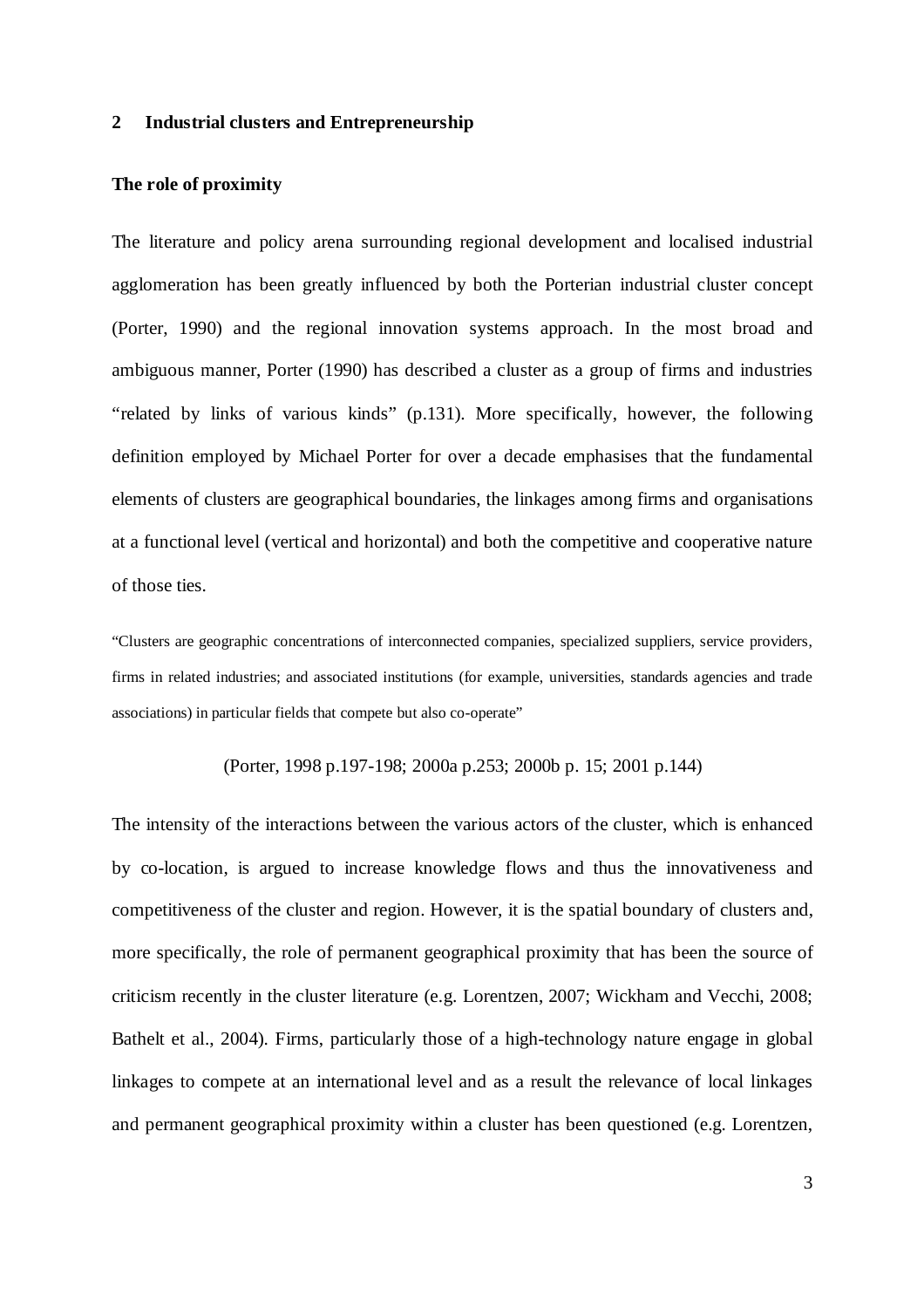#### **2 Industrial clusters and Entrepreneurship**

#### **The role of proximity**

The literature and policy arena surrounding regional development and localised industrial agglomeration has been greatly influenced by both the Porterian industrial cluster concept (Porter, 1990) and the regional innovation systems approach. In the most broad and ambiguous manner, Porter (1990) has described a cluster as a group of firms and industries "related by links of various kinds" (p.131). More specifically, however, the following definition employed by Michael Porter for over a decade emphasises that the fundamental elements of clusters are geographical boundaries, the linkages among firms and organisations at a functional level (vertical and horizontal) and both the competitive and cooperative nature of those ties.

"Clusters are geographic concentrations of interconnected companies, specialized suppliers, service providers, firms in related industries; and associated institutions (for example, universities, standards agencies and trade associations) in particular fields that compete but also co-operate"

#### (Porter, 1998 p.197-198; 2000a p.253; 2000b p. 15; 2001 p.144)

The intensity of the interactions between the various actors of the cluster, which is enhanced by co-location, is argued to increase knowledge flows and thus the innovativeness and competitiveness of the cluster and region. However, it is the spatial boundary of clusters and, more specifically, the role of permanent geographical proximity that has been the source of criticism recently in the cluster literature (e.g. Lorentzen, 2007; Wickham and Vecchi, 2008; Bathelt et al., 2004). Firms, particularly those of a high-technology nature engage in global linkages to compete at an international level and as a result the relevance of local linkages and permanent geographical proximity within a cluster has been questioned (e.g. Lorentzen,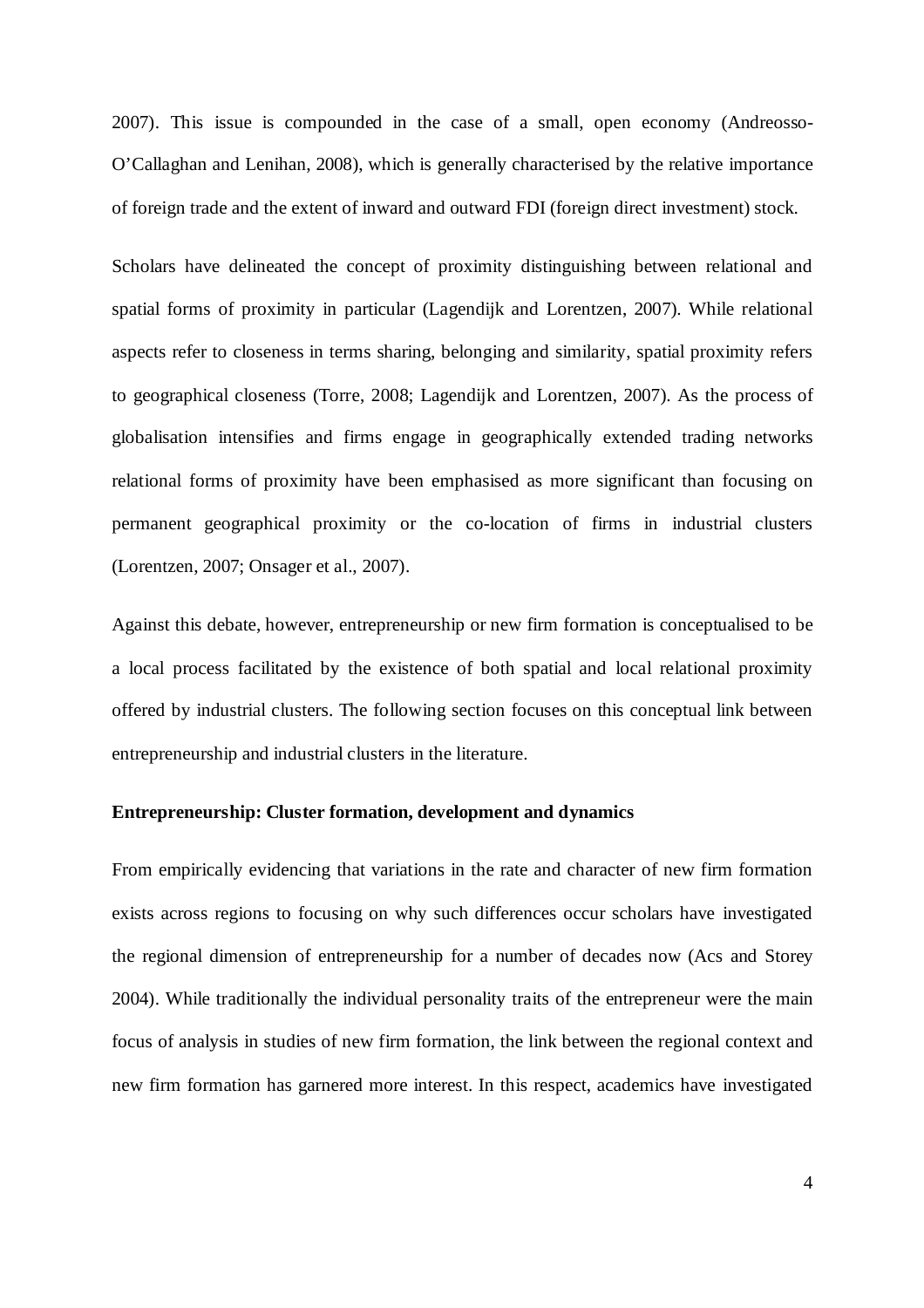2007). This issue is compounded in the case of a small, open economy (Andreosso-O'Callaghan and Lenihan, 2008), which is generally characterised by the relative importance of foreign trade and the extent of inward and outward FDI (foreign direct investment) stock.

Scholars have delineated the concept of proximity distinguishing between relational and spatial forms of proximity in particular (Lagendijk and Lorentzen, 2007). While relational aspects refer to closeness in terms sharing, belonging and similarity, spatial proximity refers to geographical closeness (Torre, 2008; Lagendijk and Lorentzen, 2007). As the process of globalisation intensifies and firms engage in geographically extended trading networks relational forms of proximity have been emphasised as more significant than focusing on permanent geographical proximity or the co-location of firms in industrial clusters (Lorentzen, 2007; Onsager et al., 2007).

Against this debate, however, entrepreneurship or new firm formation is conceptualised to be a local process facilitated by the existence of both spatial and local relational proximity offered by industrial clusters. The following section focuses on this conceptual link between entrepreneurship and industrial clusters in the literature.

#### **Entrepreneurship: Cluster formation, development and dynamics**

From empirically evidencing that variations in the rate and character of new firm formation exists across regions to focusing on why such differences occur scholars have investigated the regional dimension of entrepreneurship for a number of decades now (Acs and Storey 2004). While traditionally the individual personality traits of the entrepreneur were the main focus of analysis in studies of new firm formation, the link between the regional context and new firm formation has garnered more interest. In this respect, academics have investigated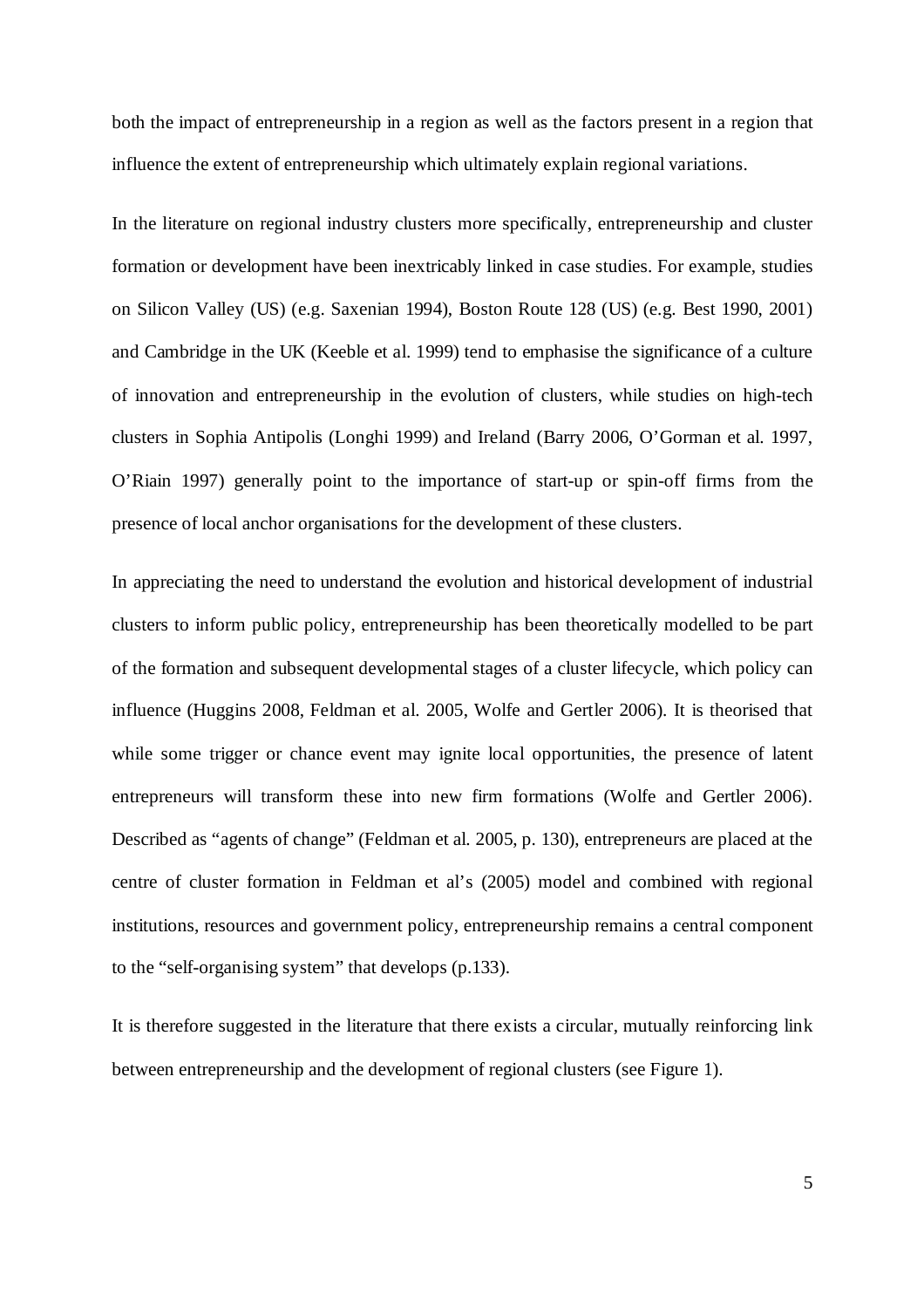both the impact of entrepreneurship in a region as well as the factors present in a region that influence the extent of entrepreneurship which ultimately explain regional variations.

In the literature on regional industry clusters more specifically, entrepreneurship and cluster formation or development have been inextricably linked in case studies. For example, studies on Silicon Valley (US) (e.g. Saxenian 1994), Boston Route 128 (US) (e.g. Best 1990, 2001) and Cambridge in the UK (Keeble et al. 1999) tend to emphasise the significance of a culture of innovation and entrepreneurship in the evolution of clusters, while studies on high-tech clusters in Sophia Antipolis (Longhi 1999) and Ireland (Barry 2006, O'Gorman et al. 1997, O'Riain 1997) generally point to the importance of start-up or spin-off firms from the presence of local anchor organisations for the development of these clusters.

In appreciating the need to understand the evolution and historical development of industrial clusters to inform public policy, entrepreneurship has been theoretically modelled to be part of the formation and subsequent developmental stages of a cluster lifecycle, which policy can influence (Huggins 2008, Feldman et al. 2005, Wolfe and Gertler 2006). It is theorised that while some trigger or chance event may ignite local opportunities, the presence of latent entrepreneurs will transform these into new firm formations (Wolfe and Gertler 2006). Described as "agents of change" (Feldman et al. 2005, p. 130), entrepreneurs are placed at the centre of cluster formation in Feldman et al's (2005) model and combined with regional institutions, resources and government policy, entrepreneurship remains a central component to the "self-organising system" that develops (p.133).

It is therefore suggested in the literature that there exists a circular, mutually reinforcing link between entrepreneurship and the development of regional clusters (see Figure 1).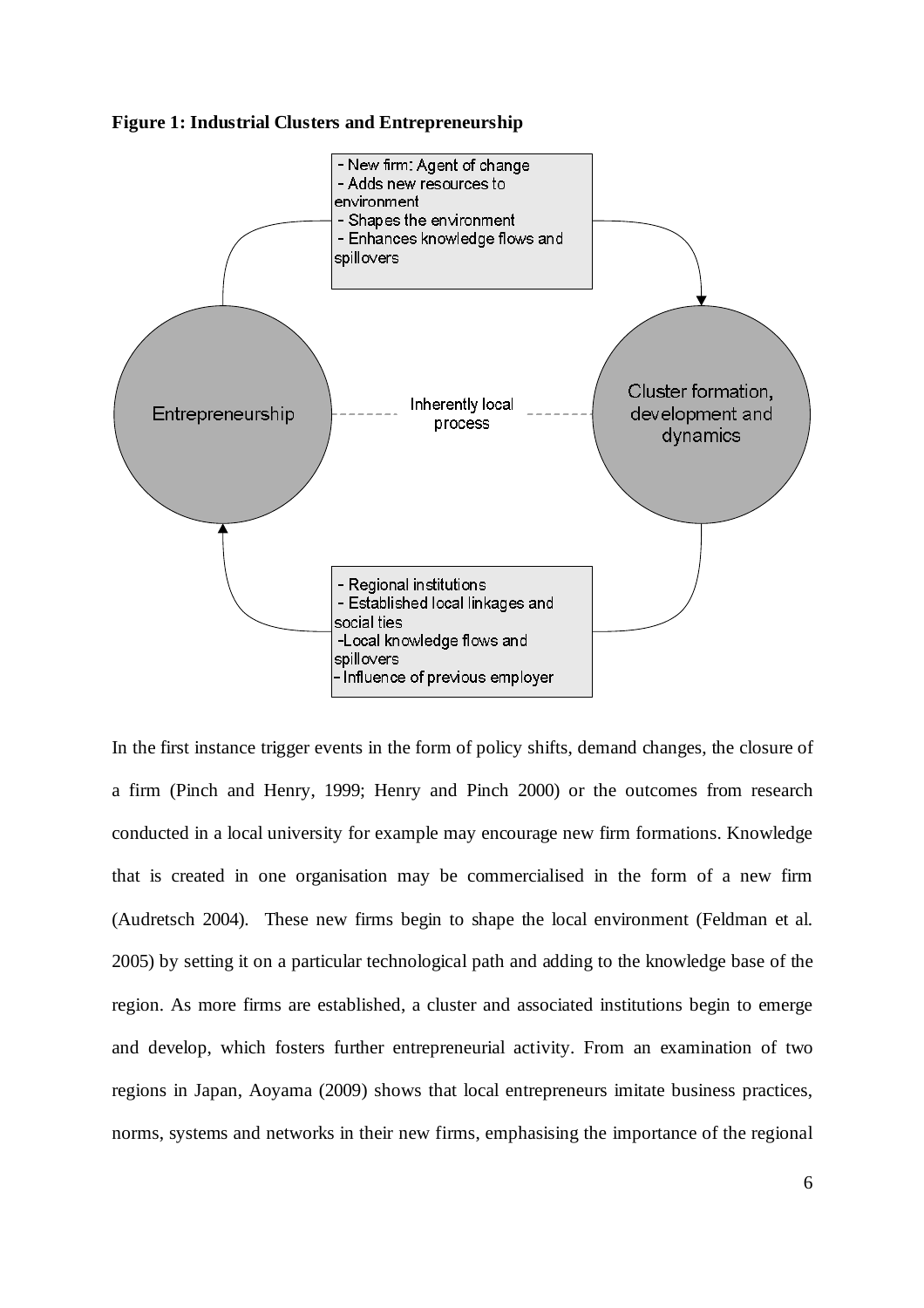



In the first instance trigger events in the form of policy shifts, demand changes, the closure of a firm (Pinch and Henry, 1999; Henry and Pinch 2000) or the outcomes from research conducted in a local university for example may encourage new firm formations. Knowledge that is created in one organisation may be commercialised in the form of a new firm (Audretsch 2004). These new firms begin to shape the local environment (Feldman et al. 2005) by setting it on a particular technological path and adding to the knowledge base of the region. As more firms are established, a cluster and associated institutions begin to emerge and develop, which fosters further entrepreneurial activity. From an examination of two regions in Japan, Aoyama (2009) shows that local entrepreneurs imitate business practices, norms, systems and networks in their new firms, emphasising the importance of the regional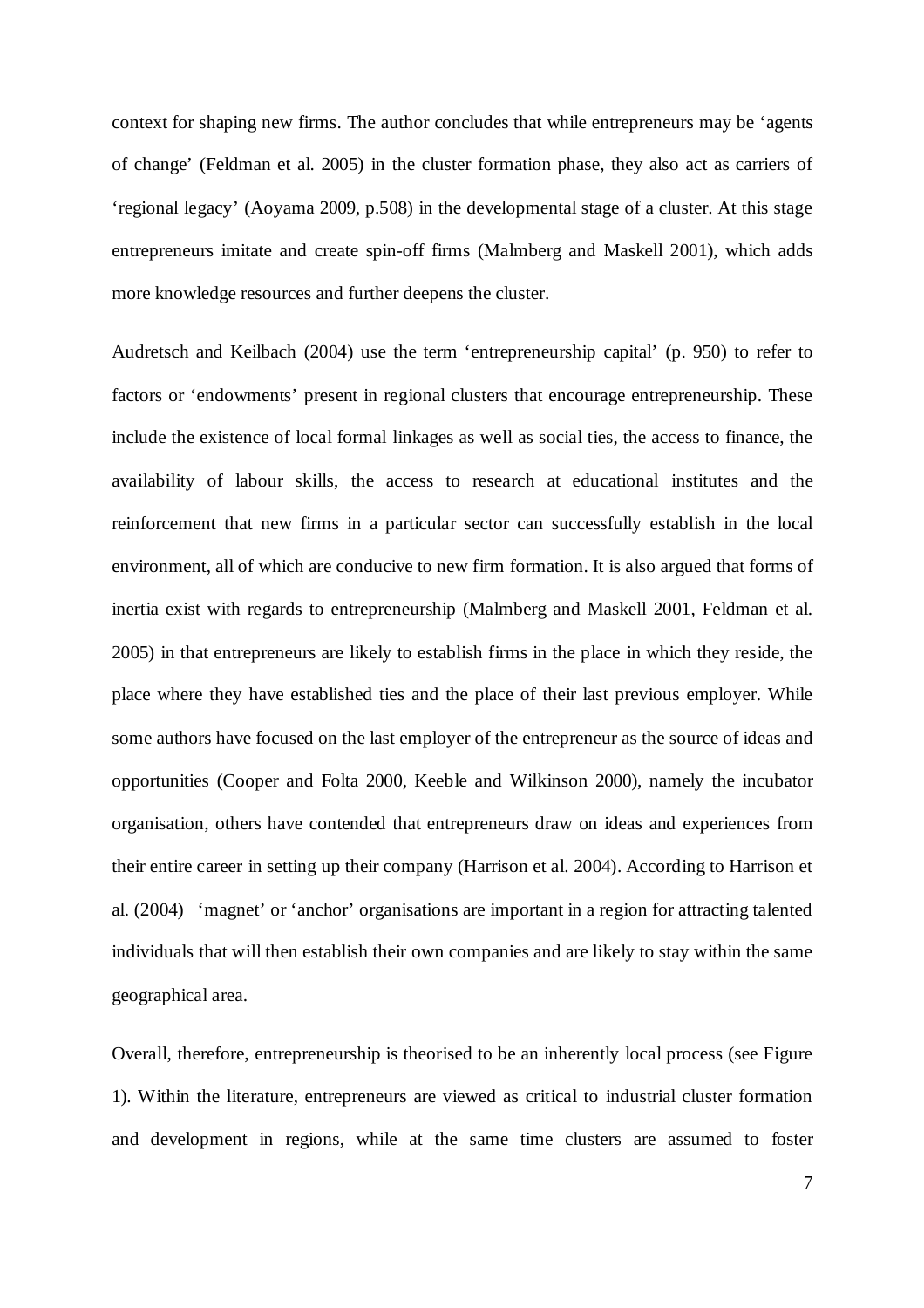context for shaping new firms. The author concludes that while entrepreneurs may be 'agents of change' (Feldman et al. 2005) in the cluster formation phase, they also act as carriers of 'regional legacy' (Aoyama 2009, p.508) in the developmental stage of a cluster. At this stage entrepreneurs imitate and create spin-off firms (Malmberg and Maskell 2001), which adds more knowledge resources and further deepens the cluster.

Audretsch and Keilbach (2004) use the term 'entrepreneurship capital' (p. 950) to refer to factors or 'endowments' present in regional clusters that encourage entrepreneurship. These include the existence of local formal linkages as well as social ties, the access to finance, the availability of labour skills, the access to research at educational institutes and the reinforcement that new firms in a particular sector can successfully establish in the local environment, all of which are conducive to new firm formation. It is also argued that forms of inertia exist with regards to entrepreneurship (Malmberg and Maskell 2001, Feldman et al. 2005) in that entrepreneurs are likely to establish firms in the place in which they reside, the place where they have established ties and the place of their last previous employer. While some authors have focused on the last employer of the entrepreneur as the source of ideas and opportunities (Cooper and Folta 2000, Keeble and Wilkinson 2000), namely the incubator organisation, others have contended that entrepreneurs draw on ideas and experiences from their entire career in setting up their company (Harrison et al. 2004). According to Harrison et al. (2004) 'magnet' or 'anchor' organisations are important in a region for attracting talented individuals that will then establish their own companies and are likely to stay within the same geographical area.

Overall, therefore, entrepreneurship is theorised to be an inherently local process (see Figure 1). Within the literature, entrepreneurs are viewed as critical to industrial cluster formation and development in regions, while at the same time clusters are assumed to foster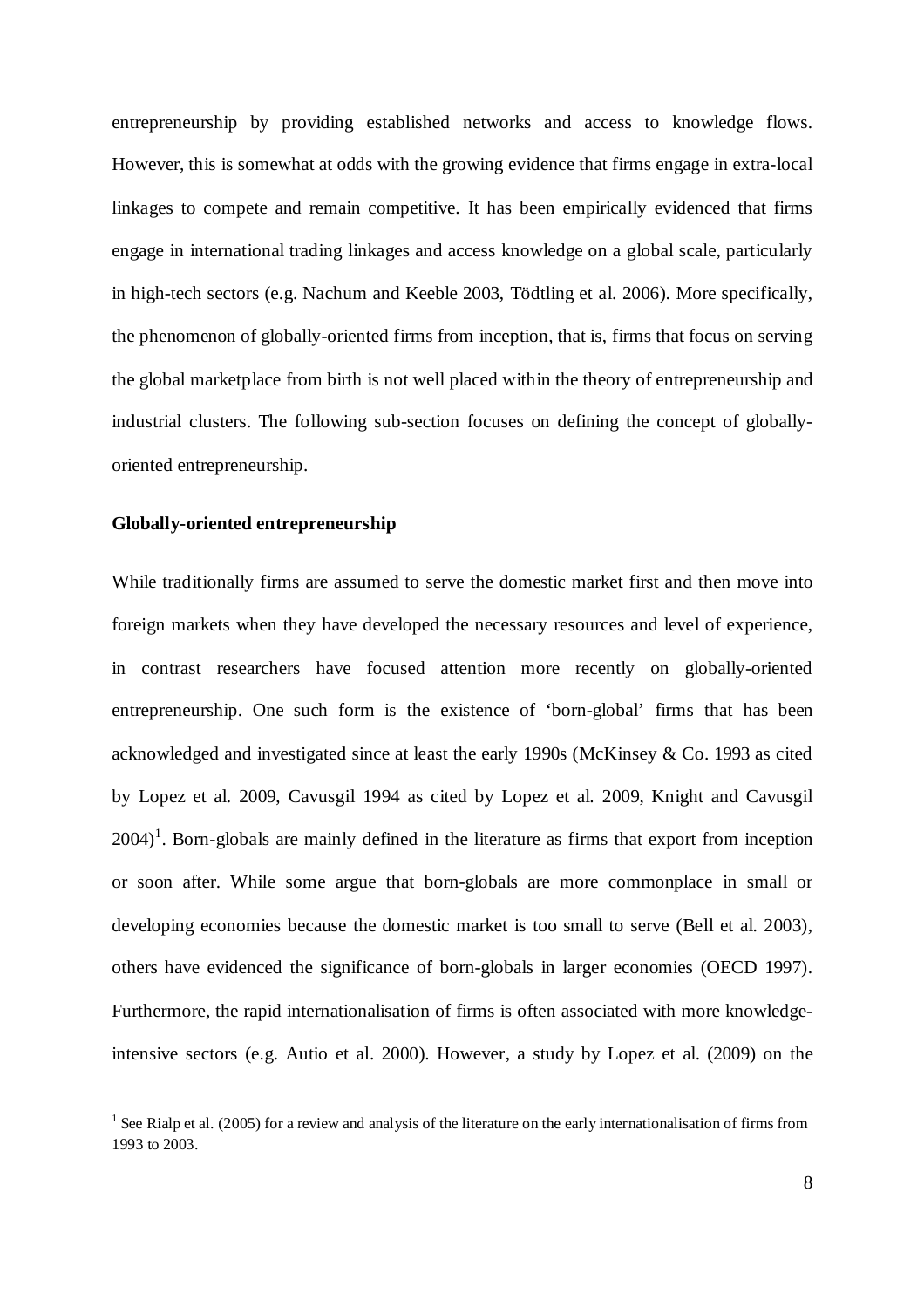entrepreneurship by providing established networks and access to knowledge flows. However, this is somewhat at odds with the growing evidence that firms engage in extra-local linkages to compete and remain competitive. It has been empirically evidenced that firms engage in international trading linkages and access knowledge on a global scale, particularly in high-tech sectors (e.g. Nachum and Keeble 2003, Tödtling et al. 2006). More specifically, the phenomenon of globally-oriented firms from inception, that is, firms that focus on serving the global marketplace from birth is not well placed within the theory of entrepreneurship and industrial clusters. The following sub-section focuses on defining the concept of globallyoriented entrepreneurship.

#### **Globally-oriented entrepreneurship**

While traditionally firms are assumed to serve the domestic market first and then move into foreign markets when they have developed the necessary resources and level of experience, in contrast researchers have focused attention more recently on globally-oriented entrepreneurship. One such form is the existence of 'born-global' firms that has been acknowledged and investigated since at least the early 1990s (McKinsey & Co. 1993 as cited by Lopez et al. 2009, Cavusgil 1994 as cited by Lopez et al. 2009, Knight and Cavusgil  $2004$ <sup>1</sup>. Born-globals are mainly defined in the literature as firms that export from inception or soon after. While some argue that born-globals are more commonplace in small or developing economies because the domestic market is too small to serve (Bell et al. 2003), others have evidenced the significance of born-globals in larger economies (OECD 1997). Furthermore, the rapid internationalisation of firms is often associated with more knowledgeintensive sectors (e.g. Autio et al. 2000). However, a study by Lopez et al. (2009) on the

<sup>&</sup>lt;sup>1</sup> See Rialp et al. (2005) for a review and analysis of the literature on the early internationalisation of firms from 1993 to 2003.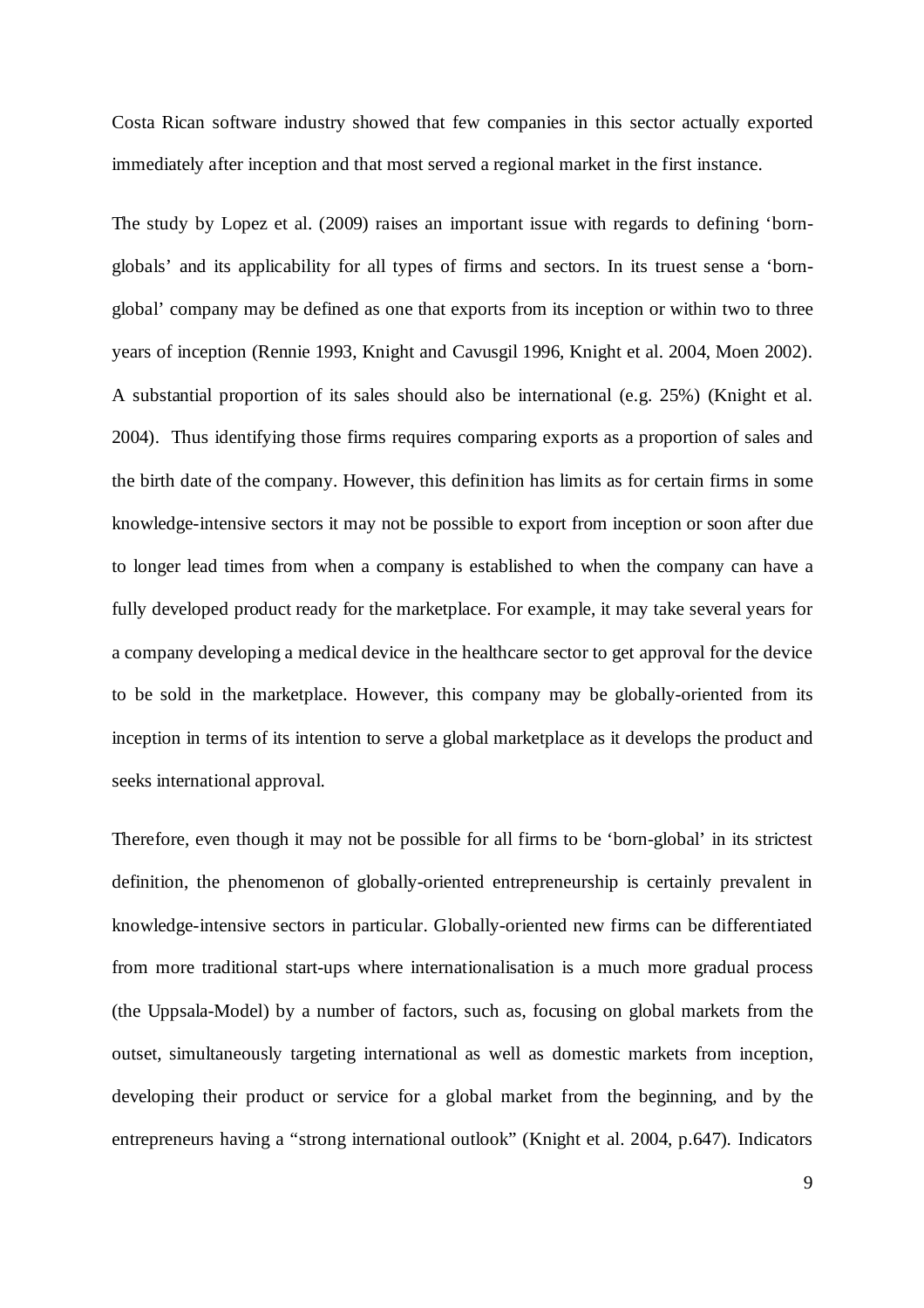Costa Rican software industry showed that few companies in this sector actually exported immediately after inception and that most served a regional market in the first instance.

The study by Lopez et al. (2009) raises an important issue with regards to defining 'bornglobals' and its applicability for all types of firms and sectors. In its truest sense a 'bornglobal' company may be defined as one that exports from its inception or within two to three years of inception (Rennie 1993, Knight and Cavusgil 1996, Knight et al. 2004, Moen 2002). A substantial proportion of its sales should also be international (e.g. 25%) (Knight et al. 2004). Thus identifying those firms requires comparing exports as a proportion of sales and the birth date of the company. However, this definition has limits as for certain firms in some knowledge-intensive sectors it may not be possible to export from inception or soon after due to longer lead times from when a company is established to when the company can have a fully developed product ready for the marketplace. For example, it may take several years for a company developing a medical device in the healthcare sector to get approval for the device to be sold in the marketplace. However, this company may be globally-oriented from its inception in terms of its intention to serve a global marketplace as it develops the product and seeks international approval.

Therefore, even though it may not be possible for all firms to be 'born-global' in its strictest definition, the phenomenon of globally-oriented entrepreneurship is certainly prevalent in knowledge-intensive sectors in particular. Globally-oriented new firms can be differentiated from more traditional start-ups where internationalisation is a much more gradual process (the Uppsala-Model) by a number of factors, such as, focusing on global markets from the outset, simultaneously targeting international as well as domestic markets from inception, developing their product or service for a global market from the beginning, and by the entrepreneurs having a "strong international outlook" (Knight et al. 2004, p.647). Indicators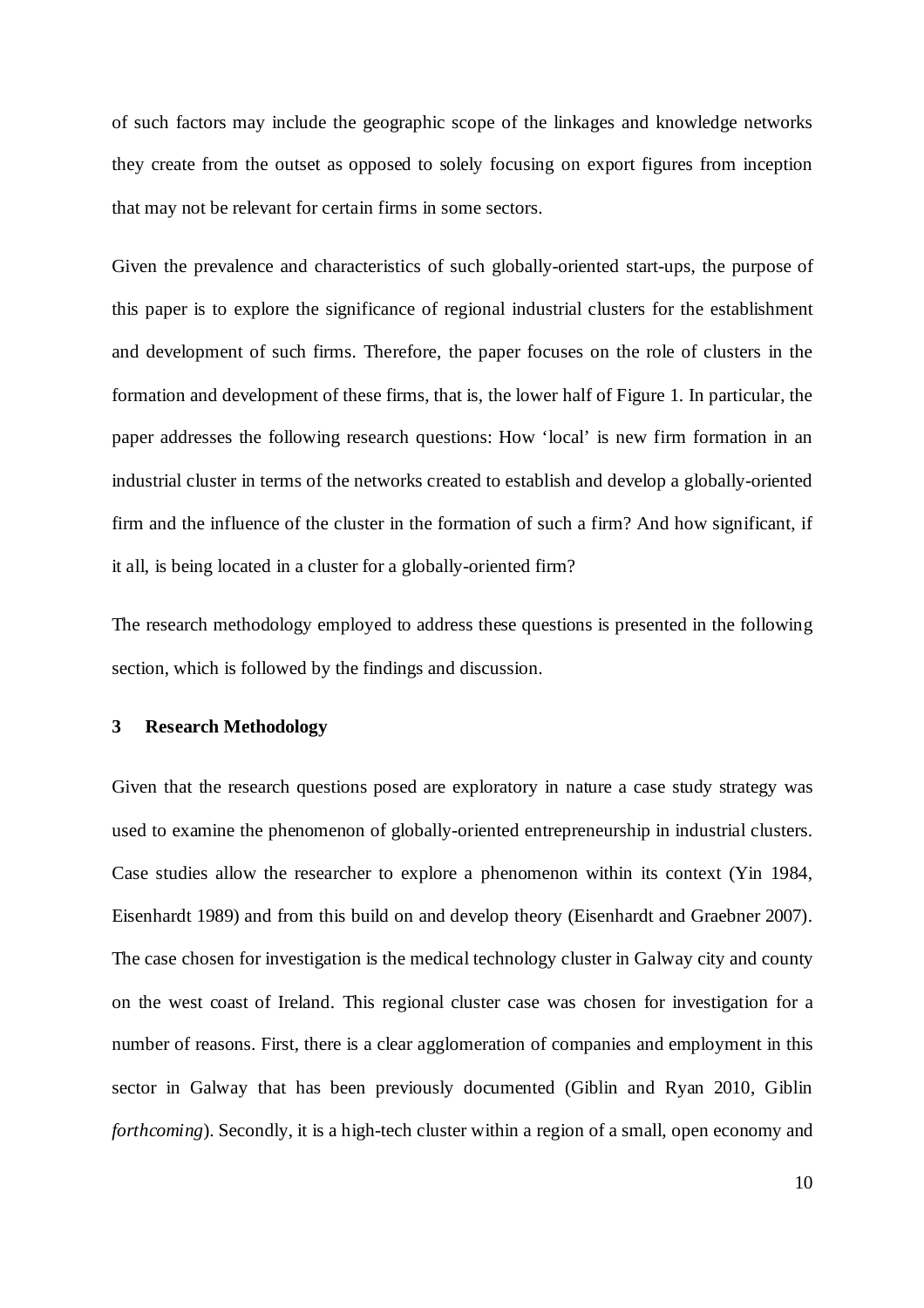of such factors may include the geographic scope of the linkages and knowledge networks they create from the outset as opposed to solely focusing on export figures from inception that may not be relevant for certain firms in some sectors.

Given the prevalence and characteristics of such globally-oriented start-ups, the purpose of this paper is to explore the significance of regional industrial clusters for the establishment and development of such firms. Therefore, the paper focuses on the role of clusters in the formation and development of these firms, that is, the lower half of Figure 1. In particular, the paper addresses the following research questions: How 'local' is new firm formation in an industrial cluster in terms of the networks created to establish and develop a globally-oriented firm and the influence of the cluster in the formation of such a firm? And how significant, if it all, is being located in a cluster for a globally-oriented firm?

The research methodology employed to address these questions is presented in the following section, which is followed by the findings and discussion.

#### **3 Research Methodology**

Given that the research questions posed are exploratory in nature a case study strategy was used to examine the phenomenon of globally-oriented entrepreneurship in industrial clusters. Case studies allow the researcher to explore a phenomenon within its context (Yin 1984, Eisenhardt 1989) and from this build on and develop theory (Eisenhardt and Graebner 2007). The case chosen for investigation is the medical technology cluster in Galway city and county on the west coast of Ireland. This regional cluster case was chosen for investigation for a number of reasons. First, there is a clear agglomeration of companies and employment in this sector in Galway that has been previously documented (Giblin and Ryan 2010, Giblin *forthcoming*). Secondly, it is a high-tech cluster within a region of a small, open economy and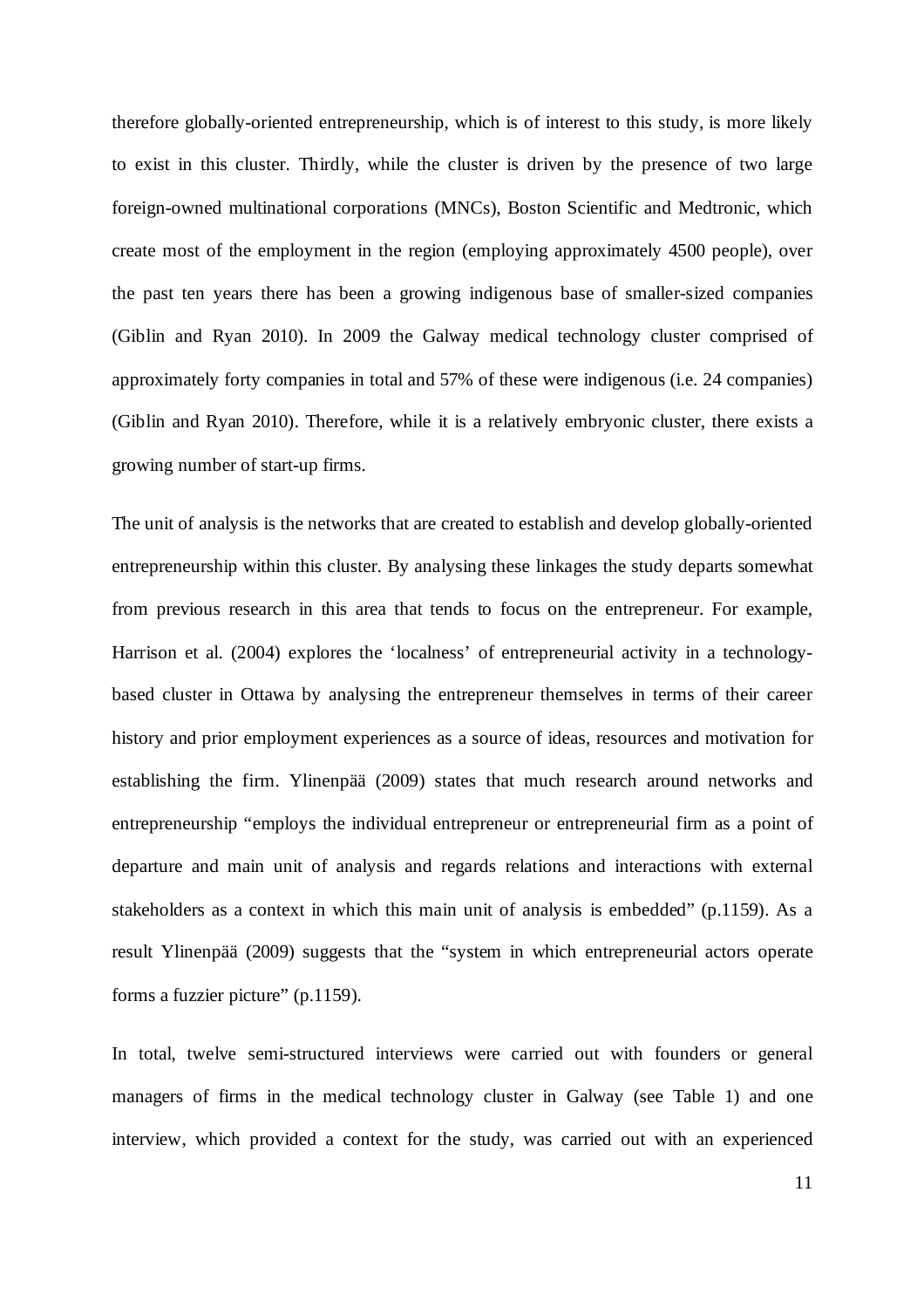therefore globally-oriented entrepreneurship, which is of interest to this study, is more likely to exist in this cluster. Thirdly, while the cluster is driven by the presence of two large foreign-owned multinational corporations (MNCs), Boston Scientific and Medtronic, which create most of the employment in the region (employing approximately 4500 people), over the past ten years there has been a growing indigenous base of smaller-sized companies (Giblin and Ryan 2010). In 2009 the Galway medical technology cluster comprised of approximately forty companies in total and 57% of these were indigenous (i.e. 24 companies) (Giblin and Ryan 2010). Therefore, while it is a relatively embryonic cluster, there exists a growing number of start-up firms.

The unit of analysis is the networks that are created to establish and develop globally-oriented entrepreneurship within this cluster. By analysing these linkages the study departs somewhat from previous research in this area that tends to focus on the entrepreneur. For example, Harrison et al. (2004) explores the 'localness' of entrepreneurial activity in a technologybased cluster in Ottawa by analysing the entrepreneur themselves in terms of their career history and prior employment experiences as a source of ideas, resources and motivation for establishing the firm. Ylinenpää (2009) states that much research around networks and entrepreneurship "employs the individual entrepreneur or entrepreneurial firm as a point of departure and main unit of analysis and regards relations and interactions with external stakeholders as a context in which this main unit of analysis is embedded" (p.1159). As a result Ylinenpää (2009) suggests that the "system in which entrepreneurial actors operate forms a fuzzier picture" (p.1159).

In total, twelve semi-structured interviews were carried out with founders or general managers of firms in the medical technology cluster in Galway (see Table 1) and one interview, which provided a context for the study, was carried out with an experienced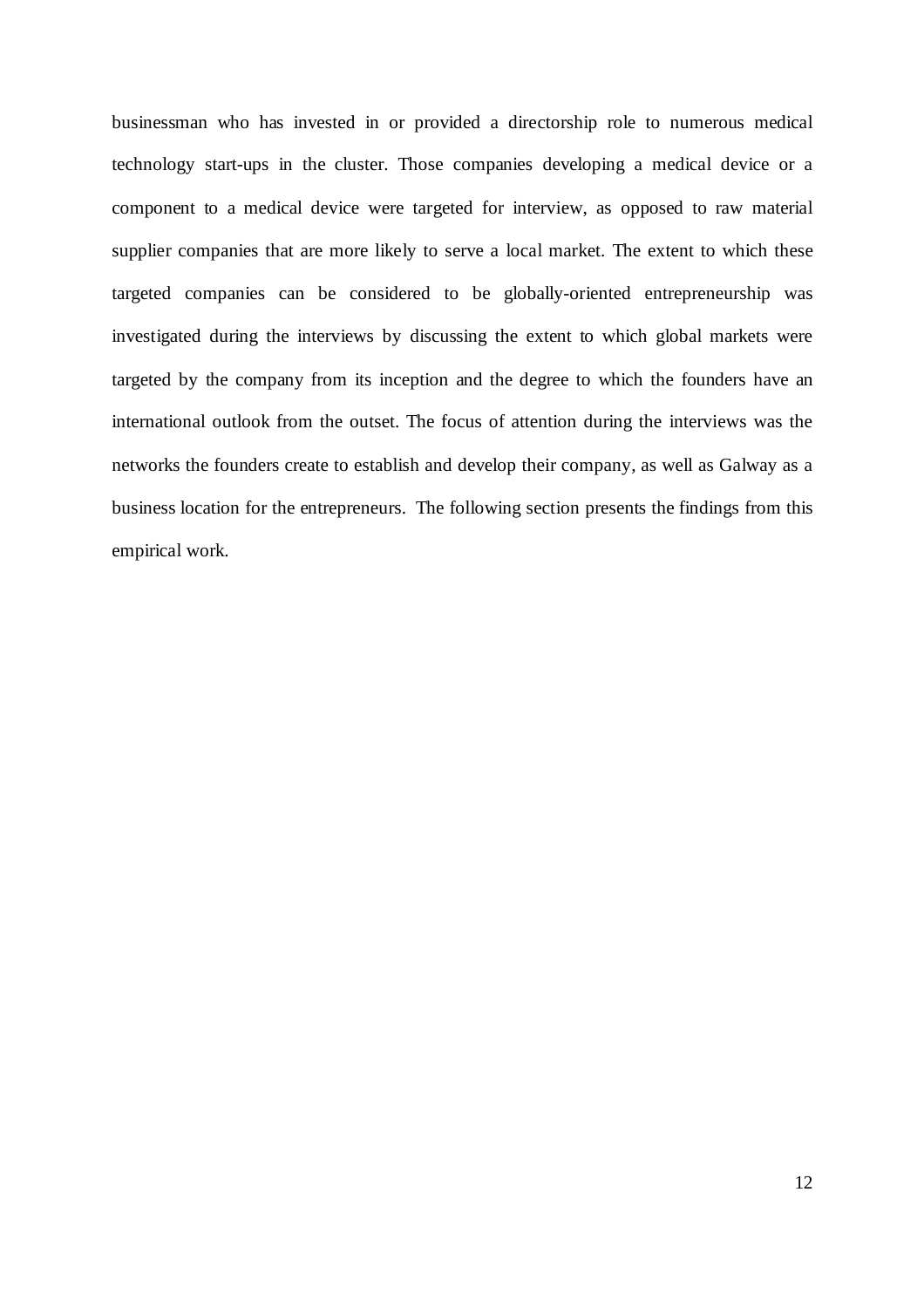businessman who has invested in or provided a directorship role to numerous medical technology start-ups in the cluster. Those companies developing a medical device or a component to a medical device were targeted for interview, as opposed to raw material supplier companies that are more likely to serve a local market. The extent to which these targeted companies can be considered to be globally-oriented entrepreneurship was investigated during the interviews by discussing the extent to which global markets were targeted by the company from its inception and the degree to which the founders have an international outlook from the outset. The focus of attention during the interviews was the networks the founders create to establish and develop their company, as well as Galway as a business location for the entrepreneurs. The following section presents the findings from this empirical work.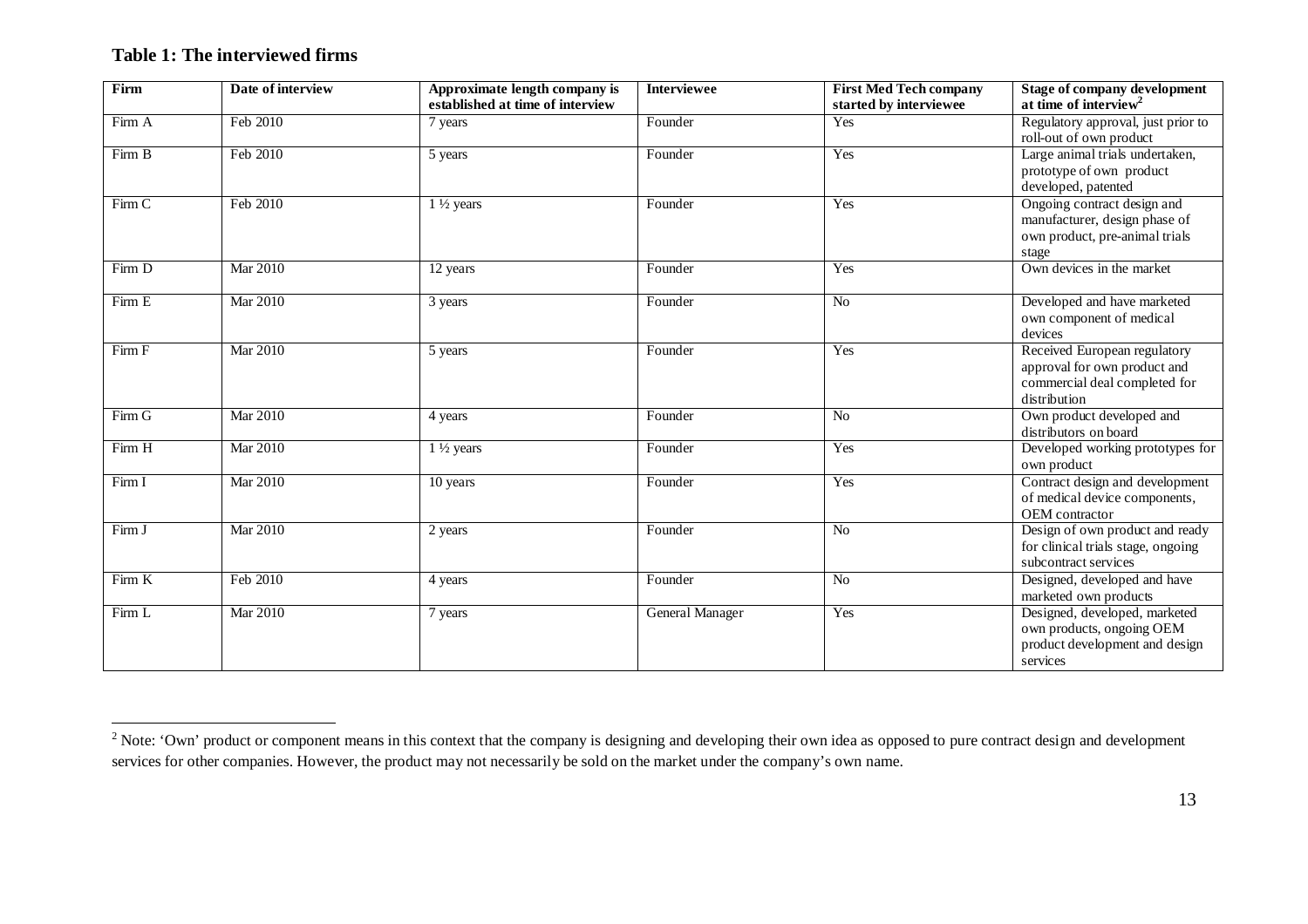# **Table 1: The interviewed firms**

| Firm   | Date of interview | Approximate length company is<br>established at time of interview | Interviewee            | <b>First Med Tech company</b><br>started by interviewee | <b>Stage of company development</b><br>at time of interview <sup>2</sup>                                      |
|--------|-------------------|-------------------------------------------------------------------|------------------------|---------------------------------------------------------|---------------------------------------------------------------------------------------------------------------|
| Firm A | Feb 2010          | 7 years                                                           | Founder                | Yes                                                     | Regulatory approval, just prior to<br>roll-out of own product                                                 |
| Firm B | Feb 2010          | 5 years                                                           | Founder                | Yes                                                     | Large animal trials undertaken,<br>prototype of own product<br>developed, patented                            |
| Firm C | Feb 2010          | $1\frac{1}{2}$ years                                              | Founder                | Yes                                                     | Ongoing contract design and<br>manufacturer, design phase of<br>own product, pre-animal trials<br>stage       |
| Firm D | Mar 2010          | 12 years                                                          | Founder                | Yes                                                     | Own devices in the market                                                                                     |
| Firm E | Mar 2010          | 3 years                                                           | Founder                | N <sub>o</sub>                                          | Developed and have marketed<br>own component of medical<br>devices                                            |
| Firm F | <b>Mar 2010</b>   | 5 years                                                           | Founder                | Yes                                                     | Received European regulatory<br>approval for own product and<br>commercial deal completed for<br>distribution |
| Firm G | <b>Mar 2010</b>   | 4 years                                                           | Founder                | N <sub>o</sub>                                          | Own product developed and<br>distributors on board                                                            |
| Firm H | <b>Mar 2010</b>   | $1\frac{1}{2}$ years                                              | Founder                | Yes                                                     | Developed working prototypes for<br>own product                                                               |
| Firm I | Mar 2010          | 10 years                                                          | Founder                | Yes                                                     | Contract design and development<br>of medical device components,<br>OEM contractor                            |
| Firm J | <b>Mar 2010</b>   | 2 years                                                           | Founder                | N <sub>o</sub>                                          | Design of own product and ready<br>for clinical trials stage, ongoing<br>subcontract services                 |
| Firm K | Feb 2010          | 4 years                                                           | Founder                | N <sub>o</sub>                                          | Designed, developed and have<br>marketed own products                                                         |
| Firm L | Mar 2010          | 7 years                                                           | <b>General Manager</b> | Yes                                                     | Designed, developed, marketed<br>own products, ongoing OEM<br>product development and design<br>services      |

<sup>&</sup>lt;sup>2</sup> Note: 'Own' product or component means in this context that the company is designing and developing their own idea as opposed to pure contract design and development services for other companies. However, the product may not necessarily be sold on the market under the company's own name.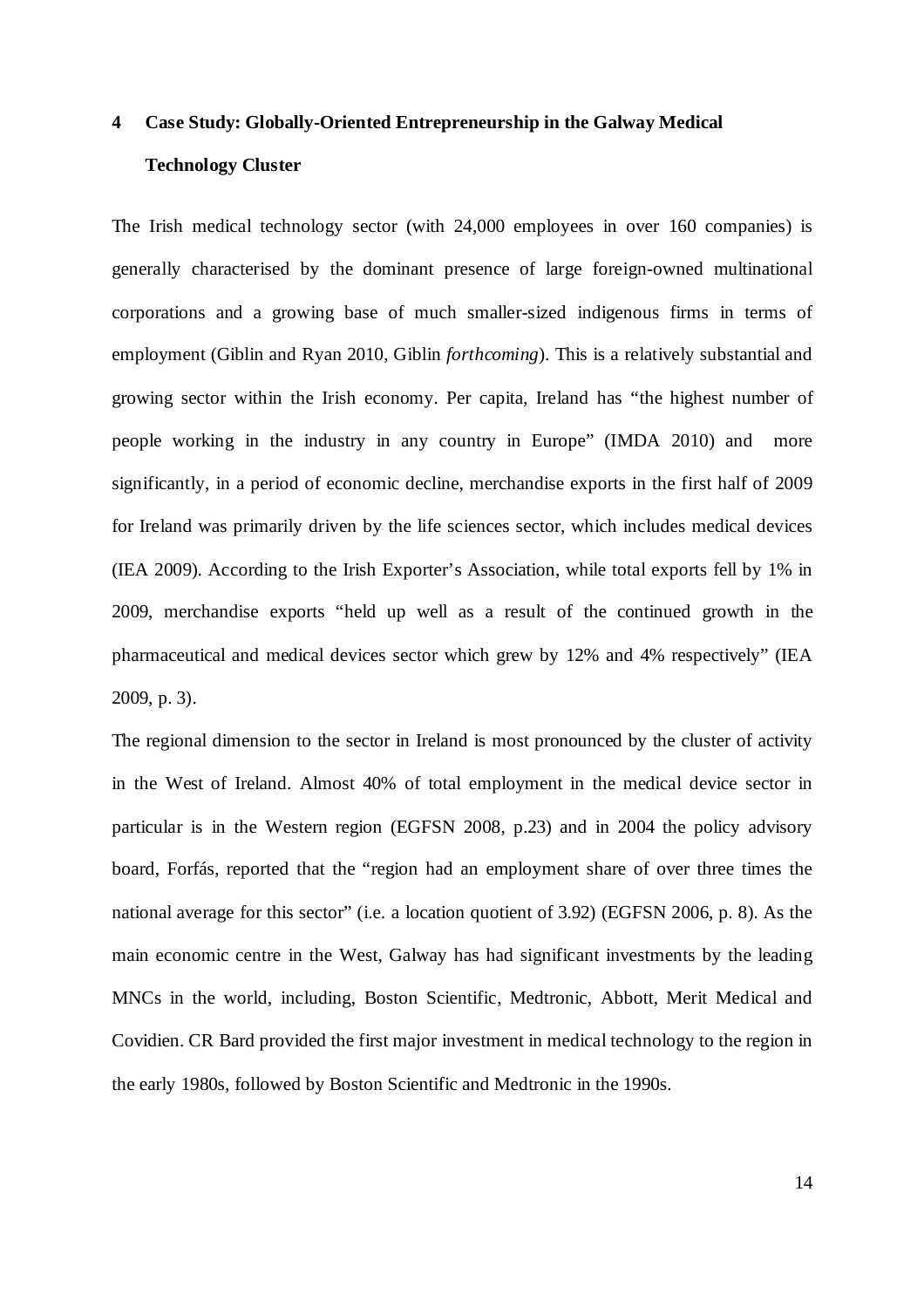# **4 Case Study: Globally-Oriented Entrepreneurship in the Galway Medical Technology Cluster**

The Irish medical technology sector (with 24,000 employees in over 160 companies) is generally characterised by the dominant presence of large foreign-owned multinational corporations and a growing base of much smaller-sized indigenous firms in terms of employment (Giblin and Ryan 2010, Giblin *forthcoming*). This is a relatively substantial and growing sector within the Irish economy. Per capita, Ireland has "the highest number of people working in the industry in any country in Europe" (IMDA 2010) and more significantly, in a period of economic decline, merchandise exports in the first half of 2009 for Ireland was primarily driven by the life sciences sector, which includes medical devices (IEA 2009). According to the Irish Exporter's Association, while total exports fell by 1% in 2009, merchandise exports "held up well as a result of the continued growth in the pharmaceutical and medical devices sector which grew by 12% and 4% respectively" (IEA 2009, p. 3).

The regional dimension to the sector in Ireland is most pronounced by the cluster of activity in the West of Ireland. Almost 40% of total employment in the medical device sector in particular is in the Western region (EGFSN 2008, p.23) and in 2004 the policy advisory board, Forfás, reported that the "region had an employment share of over three times the national average for this sector" (i.e. a location quotient of 3.92) (EGFSN 2006, p. 8). As the main economic centre in the West, Galway has had significant investments by the leading MNCs in the world, including, Boston Scientific, Medtronic, Abbott, Merit Medical and Covidien. CR Bard provided the first major investment in medical technology to the region in the early 1980s, followed by Boston Scientific and Medtronic in the 1990s.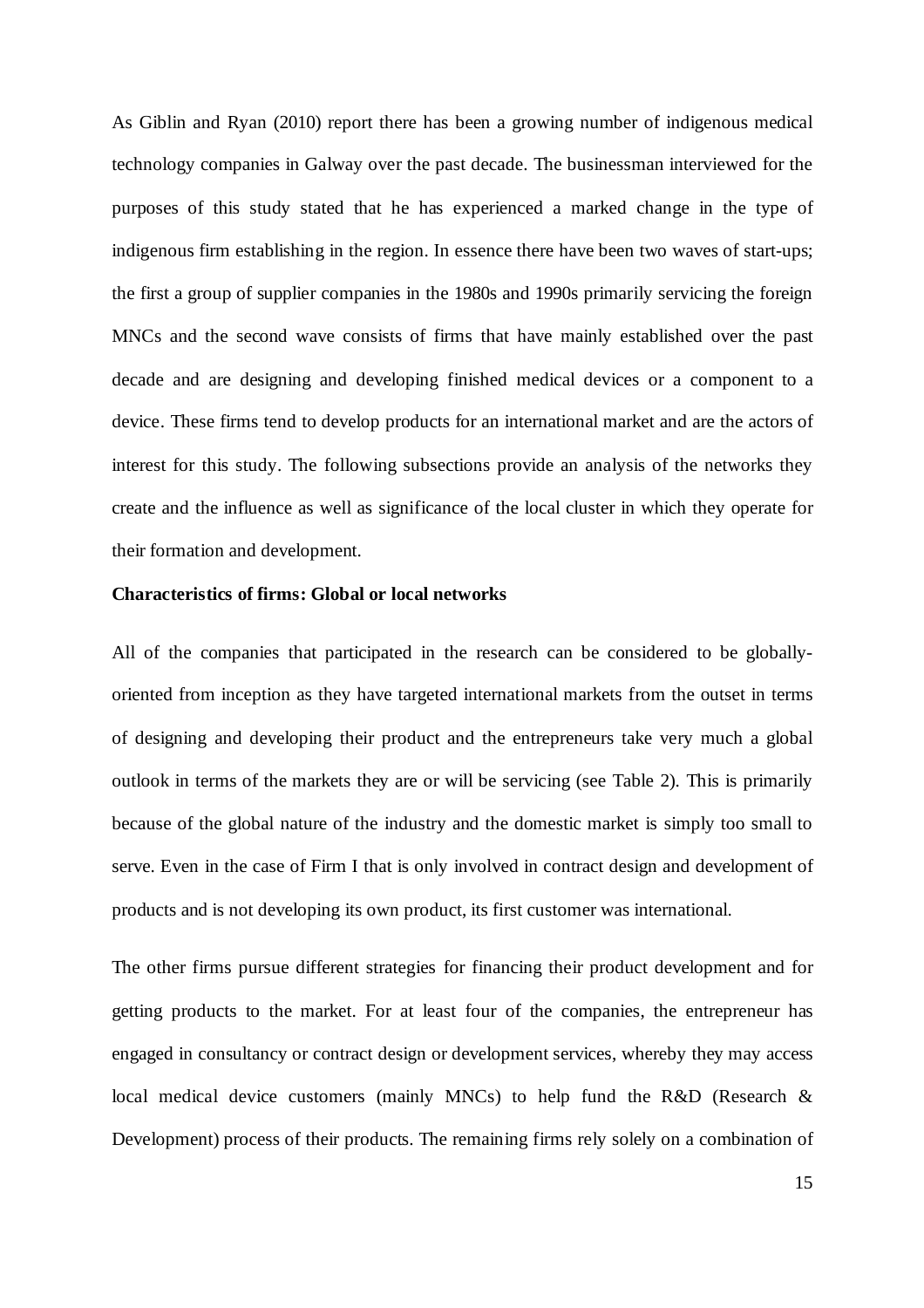As Giblin and Ryan (2010) report there has been a growing number of indigenous medical technology companies in Galway over the past decade. The businessman interviewed for the purposes of this study stated that he has experienced a marked change in the type of indigenous firm establishing in the region. In essence there have been two waves of start-ups; the first a group of supplier companies in the 1980s and 1990s primarily servicing the foreign MNCs and the second wave consists of firms that have mainly established over the past decade and are designing and developing finished medical devices or a component to a device. These firms tend to develop products for an international market and are the actors of interest for this study. The following subsections provide an analysis of the networks they create and the influence as well as significance of the local cluster in which they operate for their formation and development.

#### **Characteristics of firms: Global or local networks**

All of the companies that participated in the research can be considered to be globallyoriented from inception as they have targeted international markets from the outset in terms of designing and developing their product and the entrepreneurs take very much a global outlook in terms of the markets they are or will be servicing (see Table 2). This is primarily because of the global nature of the industry and the domestic market is simply too small to serve. Even in the case of Firm I that is only involved in contract design and development of products and is not developing its own product, its first customer was international.

The other firms pursue different strategies for financing their product development and for getting products to the market. For at least four of the companies, the entrepreneur has engaged in consultancy or contract design or development services, whereby they may access local medical device customers (mainly MNCs) to help fund the R&D (Research & Development) process of their products. The remaining firms rely solely on a combination of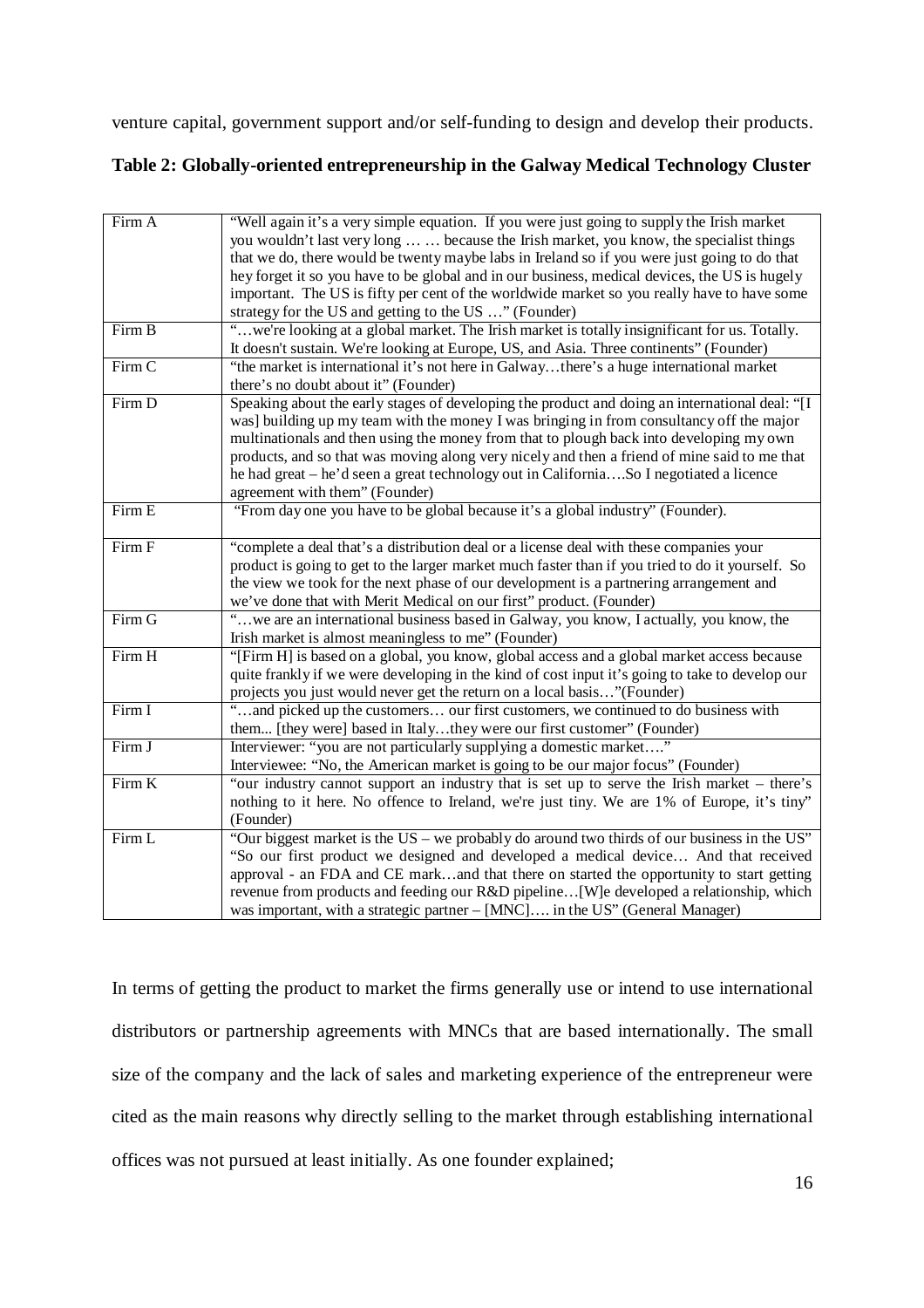venture capital, government support and/or self-funding to design and develop their products.

# **Table 2: Globally-oriented entrepreneurship in the Galway Medical Technology Cluster**

| Firm A | "Well again it's a very simple equation. If you were just going to supply the Irish market       |
|--------|--------------------------------------------------------------------------------------------------|
|        | you wouldn't last very long   because the Irish market, you know, the specialist things          |
|        | that we do, there would be twenty maybe labs in Ireland so if you were just going to do that     |
|        | hey forget it so you have to be global and in our business, medical devices, the US is hugely    |
|        | important. The US is fifty per cent of the worldwide market so you really have to have some      |
|        | strategy for the US and getting to the US " (Founder)                                            |
| Firm B | "we're looking at a global market. The Irish market is totally insignificant for us. Totally.    |
|        | It doesn't sustain. We're looking at Europe, US, and Asia. Three continents" (Founder)           |
| Firm C | "the market is international it's not here in Galwaythere's a huge international market          |
|        | there's no doubt about it" (Founder)                                                             |
| Firm D | Speaking about the early stages of developing the product and doing an international deal: "[I   |
|        | was] building up my team with the money I was bringing in from consultancy off the major         |
|        | multinationals and then using the money from that to plough back into developing my own          |
|        |                                                                                                  |
|        | products, and so that was moving along very nicely and then a friend of mine said to me that     |
|        | he had great - he'd seen a great technology out in CaliforniaSo I negotiated a licence           |
|        | agreement with them" (Founder)                                                                   |
| Firm E | "From day one you have to be global because it's a global industry" (Founder).                   |
|        |                                                                                                  |
| Firm F | "complete a deal that's a distribution deal or a license deal with these companies your          |
|        | product is going to get to the larger market much faster than if you tried to do it yourself. So |
|        | the view we took for the next phase of our development is a partnering arrangement and           |
|        | we've done that with Merit Medical on our first" product. (Founder)                              |
| Firm G | "we are an international business based in Galway, you know, I actually, you know, the           |
|        | Irish market is almost meaningless to me" (Founder)                                              |
| Firm H | "[Firm H] is based on a global, you know, global access and a global market access because       |
|        | quite frankly if we were developing in the kind of cost input it's going to take to develop our  |
|        | projects you just would never get the return on a local basis"(Founder)                          |
| Firm I | "and picked up the customers our first customers, we continued to do business with               |
|        |                                                                                                  |
| Firm J | them [they were] based in Italythey were our first customer" (Founder)                           |
|        | Interviewer: "you are not particularly supplying a domestic market"                              |
|        | Interviewee: "No, the American market is going to be our major focus" (Founder)                  |
| Firm K | "our industry cannot support an industry that is set up to serve the Irish market – there's      |
|        | nothing to it here. No offence to Ireland, we're just tiny. We are 1% of Europe, it's tiny"      |
|        | (Founder)                                                                                        |
| Firm L | "Our biggest market is the $US -$ we probably do around two thirds of our business in the $US$ " |
|        | "So our first product we designed and developed a medical device And that received               |
|        | approval - an FDA and CE markand that there on started the opportunity to start getting          |
|        | revenue from products and feeding our R&D pipeline[W]e developed a relationship, which           |
|        | was important, with a strategic partner - [MNC] in the US" (General Manager)                     |
|        |                                                                                                  |

In terms of getting the product to market the firms generally use or intend to use international distributors or partnership agreements with MNCs that are based internationally. The small size of the company and the lack of sales and marketing experience of the entrepreneur were cited as the main reasons why directly selling to the market through establishing international offices was not pursued at least initially. As one founder explained;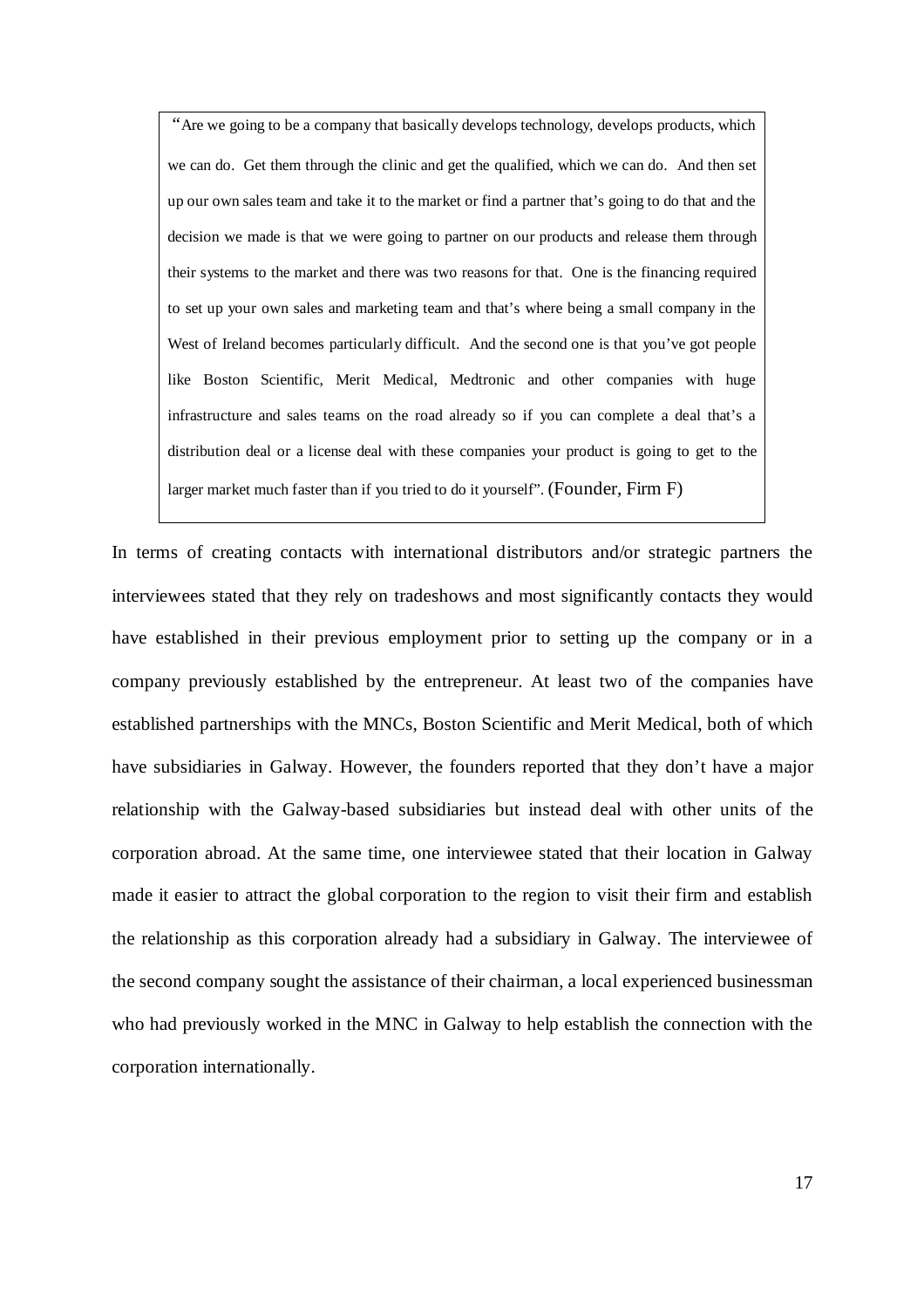"Are we going to be a company that basically develops technology, develops products, which we can do. Get them through the clinic and get the qualified, which we can do. And then set up our own sales team and take it to the market or find a partner that's going to do that and the decision we made is that we were going to partner on our products and release them through their systems to the market and there was two reasons for that. One is the financing required to set up your own sales and marketing team and that's where being a small company in the West of Ireland becomes particularly difficult. And the second one is that you've got people like Boston Scientific, Merit Medical, Medtronic and other companies with huge infrastructure and sales teams on the road already so if you can complete a deal that's a distribution deal or a license deal with these companies your product is going to get to the larger market much faster than if you tried to do it yourself". (Founder, Firm F)

In terms of creating contacts with international distributors and/or strategic partners the interviewees stated that they rely on tradeshows and most significantly contacts they would have established in their previous employment prior to setting up the company or in a company previously established by the entrepreneur. At least two of the companies have established partnerships with the MNCs, Boston Scientific and Merit Medical, both of which have subsidiaries in Galway. However, the founders reported that they don't have a major relationship with the Galway-based subsidiaries but instead deal with other units of the corporation abroad. At the same time, one interviewee stated that their location in Galway made it easier to attract the global corporation to the region to visit their firm and establish the relationship as this corporation already had a subsidiary in Galway. The interviewee of the second company sought the assistance of their chairman, a local experienced businessman who had previously worked in the MNC in Galway to help establish the connection with the corporation internationally.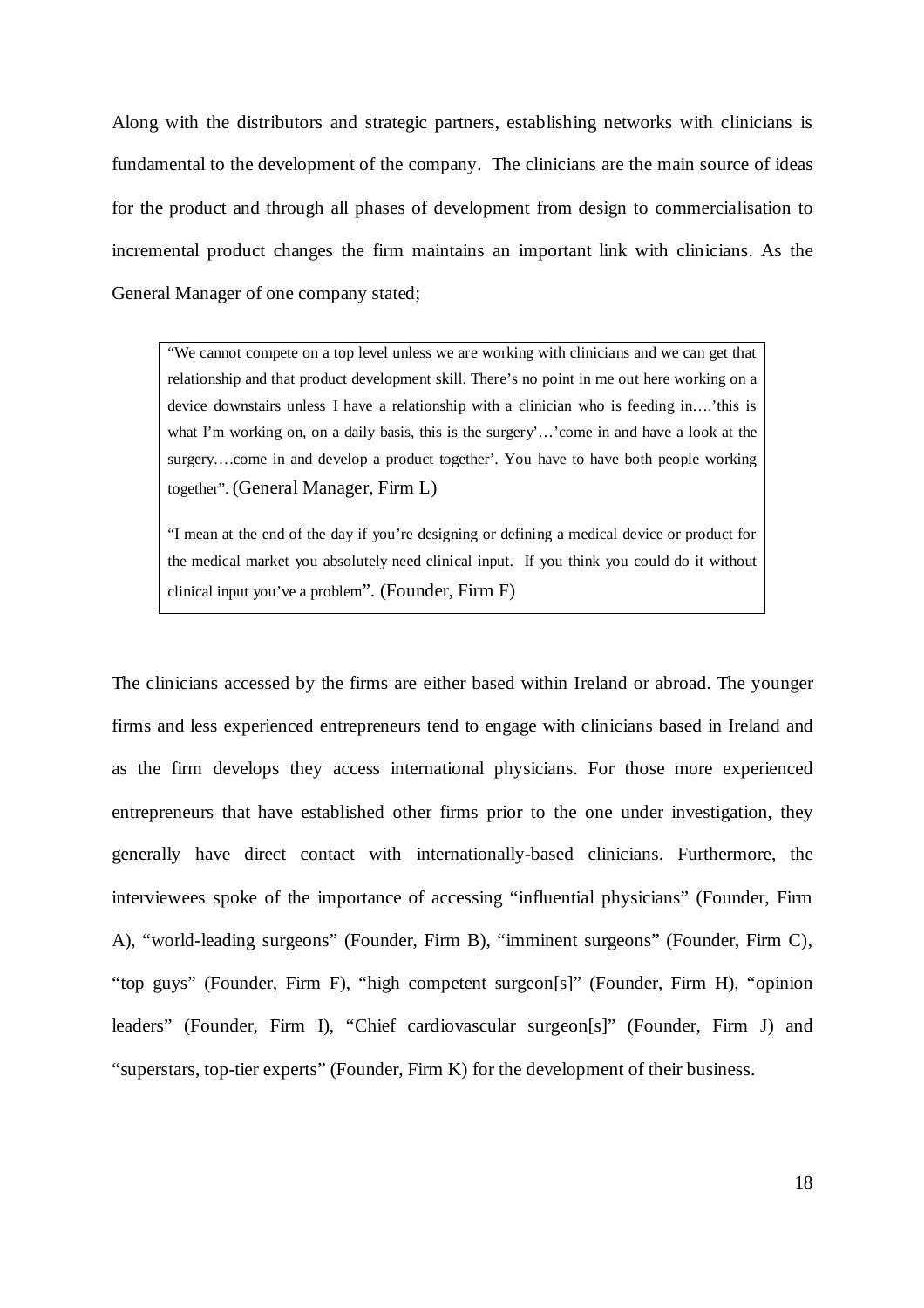Along with the distributors and strategic partners, establishing networks with clinicians is fundamental to the development of the company. The clinicians are the main source of ideas for the product and through all phases of development from design to commercialisation to incremental product changes the firm maintains an important link with clinicians. As the General Manager of one company stated;

"We cannot compete on a top level unless we are working with clinicians and we can get that relationship and that product development skill. There's no point in me out here working on a device downstairs unless I have a relationship with a clinician who is feeding in….'this is what I'm working on, on a daily basis, this is the surgery'...'come in and have a look at the surgery….come in and develop a product together'. You have to have both people working together". (General Manager, Firm L)

"I mean at the end of the day if you're designing or defining a medical device or product for the medical market you absolutely need clinical input. If you think you could do it without clinical input you've a problem". (Founder, Firm F)

The clinicians accessed by the firms are either based within Ireland or abroad. The younger firms and less experienced entrepreneurs tend to engage with clinicians based in Ireland and as the firm develops they access international physicians. For those more experienced entrepreneurs that have established other firms prior to the one under investigation, they generally have direct contact with internationally-based clinicians. Furthermore, the interviewees spoke of the importance of accessing "influential physicians" (Founder, Firm A), "world-leading surgeons" (Founder, Firm B), "imminent surgeons" (Founder, Firm C), "top guys" (Founder, Firm F), "high competent surgeon[s]" (Founder, Firm H), "opinion leaders" (Founder, Firm I), "Chief cardiovascular surgeon[s]" (Founder, Firm J) and "superstars, top-tier experts" (Founder, Firm K) for the development of their business.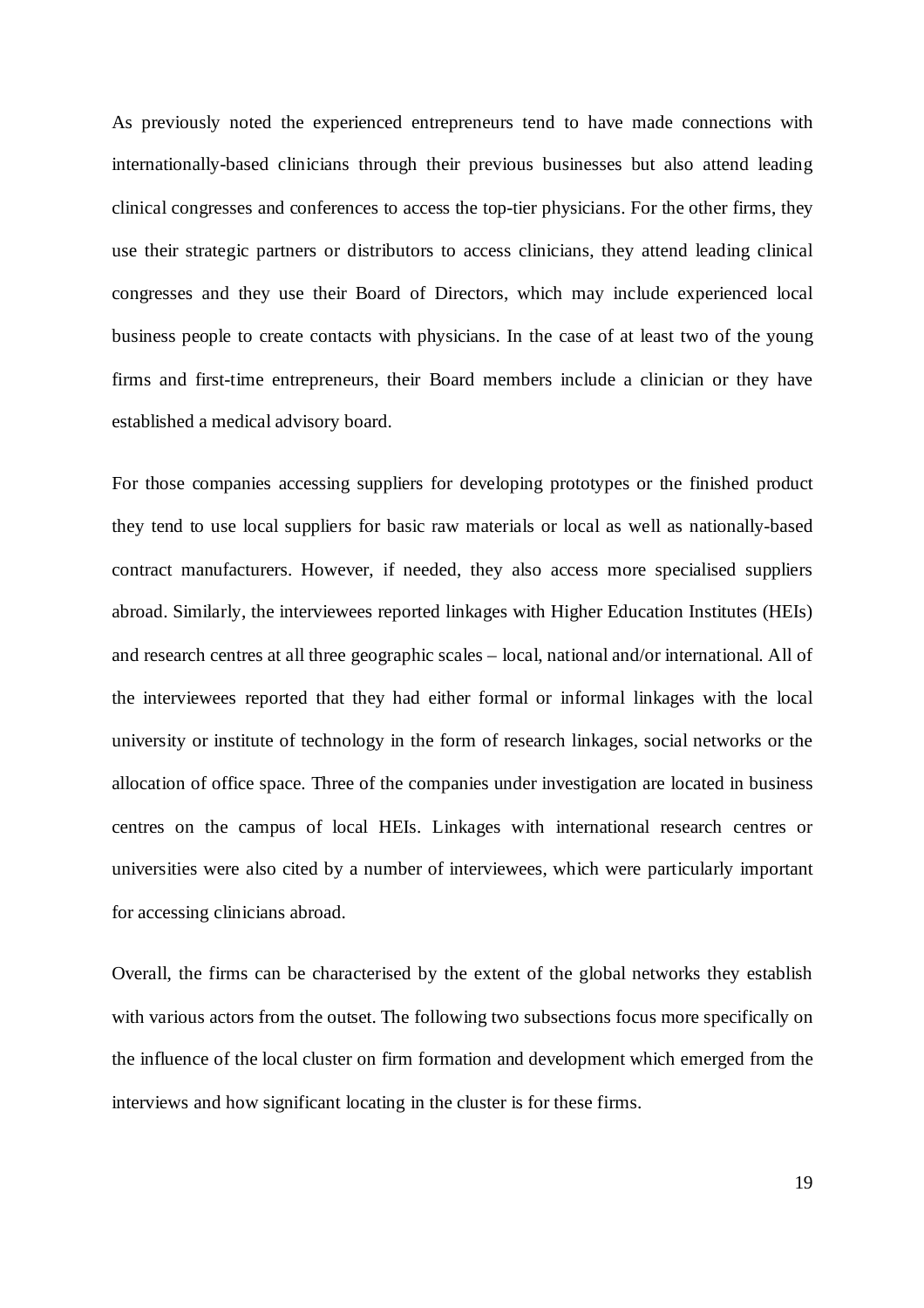As previously noted the experienced entrepreneurs tend to have made connections with internationally-based clinicians through their previous businesses but also attend leading clinical congresses and conferences to access the top-tier physicians. For the other firms, they use their strategic partners or distributors to access clinicians, they attend leading clinical congresses and they use their Board of Directors, which may include experienced local business people to create contacts with physicians. In the case of at least two of the young firms and first-time entrepreneurs, their Board members include a clinician or they have established a medical advisory board.

For those companies accessing suppliers for developing prototypes or the finished product they tend to use local suppliers for basic raw materials or local as well as nationally-based contract manufacturers. However, if needed, they also access more specialised suppliers abroad. Similarly, the interviewees reported linkages with Higher Education Institutes (HEIs) and research centres at all three geographic scales – local, national and/or international. All of the interviewees reported that they had either formal or informal linkages with the local university or institute of technology in the form of research linkages, social networks or the allocation of office space. Three of the companies under investigation are located in business centres on the campus of local HEIs. Linkages with international research centres or universities were also cited by a number of interviewees, which were particularly important for accessing clinicians abroad.

Overall, the firms can be characterised by the extent of the global networks they establish with various actors from the outset. The following two subsections focus more specifically on the influence of the local cluster on firm formation and development which emerged from the interviews and how significant locating in the cluster is for these firms.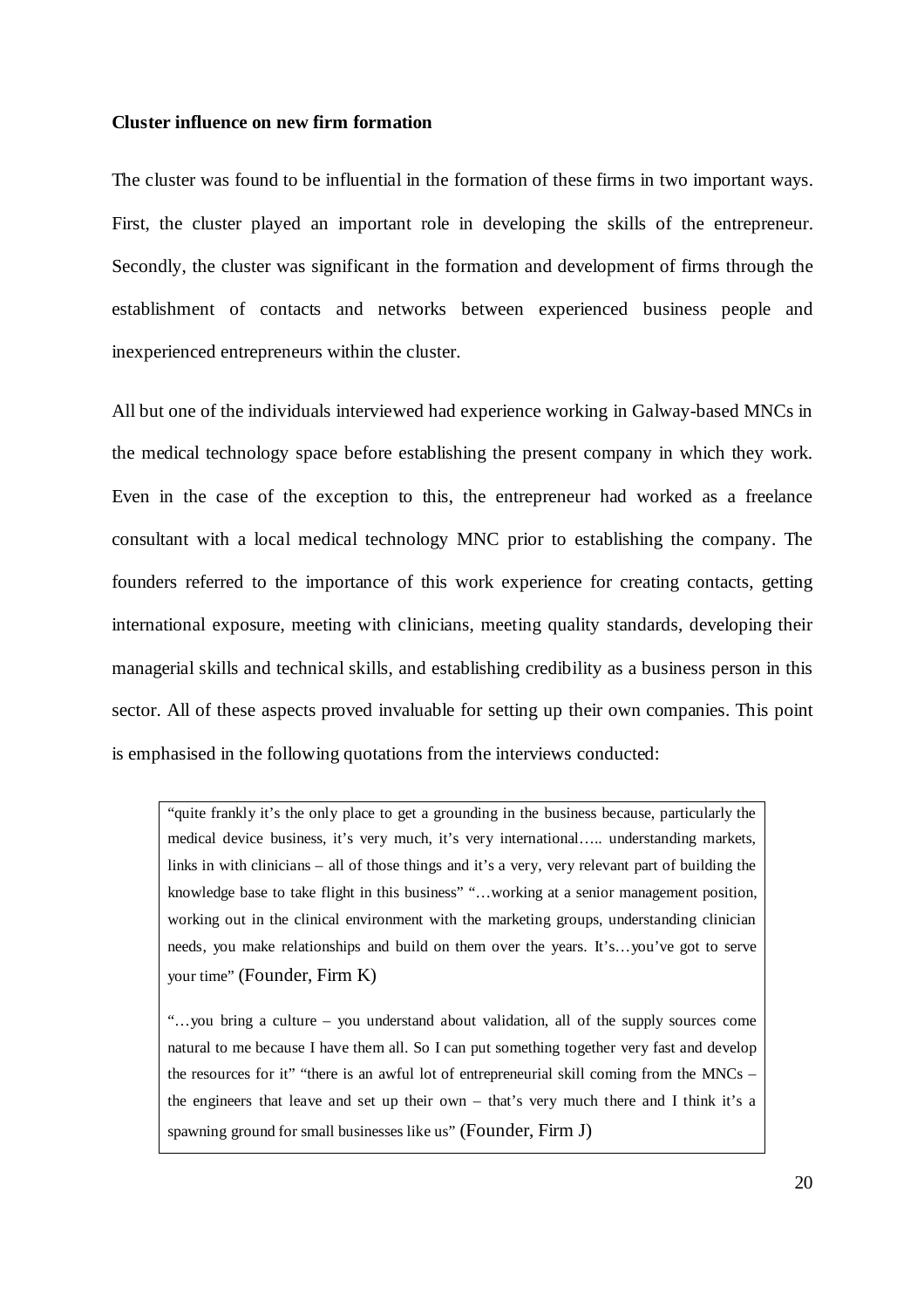#### **Cluster influence on new firm formation**

The cluster was found to be influential in the formation of these firms in two important ways. First, the cluster played an important role in developing the skills of the entrepreneur. Secondly, the cluster was significant in the formation and development of firms through the establishment of contacts and networks between experienced business people and inexperienced entrepreneurs within the cluster.

All but one of the individuals interviewed had experience working in Galway-based MNCs in the medical technology space before establishing the present company in which they work. Even in the case of the exception to this, the entrepreneur had worked as a freelance consultant with a local medical technology MNC prior to establishing the company. The founders referred to the importance of this work experience for creating contacts, getting international exposure, meeting with clinicians, meeting quality standards, developing their managerial skills and technical skills, and establishing credibility as a business person in this sector. All of these aspects proved invaluable for setting up their own companies. This point is emphasised in the following quotations from the interviews conducted:

"quite frankly it's the only place to get a grounding in the business because, particularly the medical device business, it's very much, it's very international….. understanding markets, links in with clinicians – all of those things and it's a very, very relevant part of building the knowledge base to take flight in this business" "…working at a senior management position, working out in the clinical environment with the marketing groups, understanding clinician needs, you make relationships and build on them over the years. It's…you've got to serve your time" (Founder, Firm K)

"…you bring a culture – you understand about validation, all of the supply sources come natural to me because I have them all. So I can put something together very fast and develop the resources for it" "there is an awful lot of entrepreneurial skill coming from the  $MNCs$  – the engineers that leave and set up their own – that's very much there and I think it's a spawning ground for small businesses like us" (Founder, Firm J)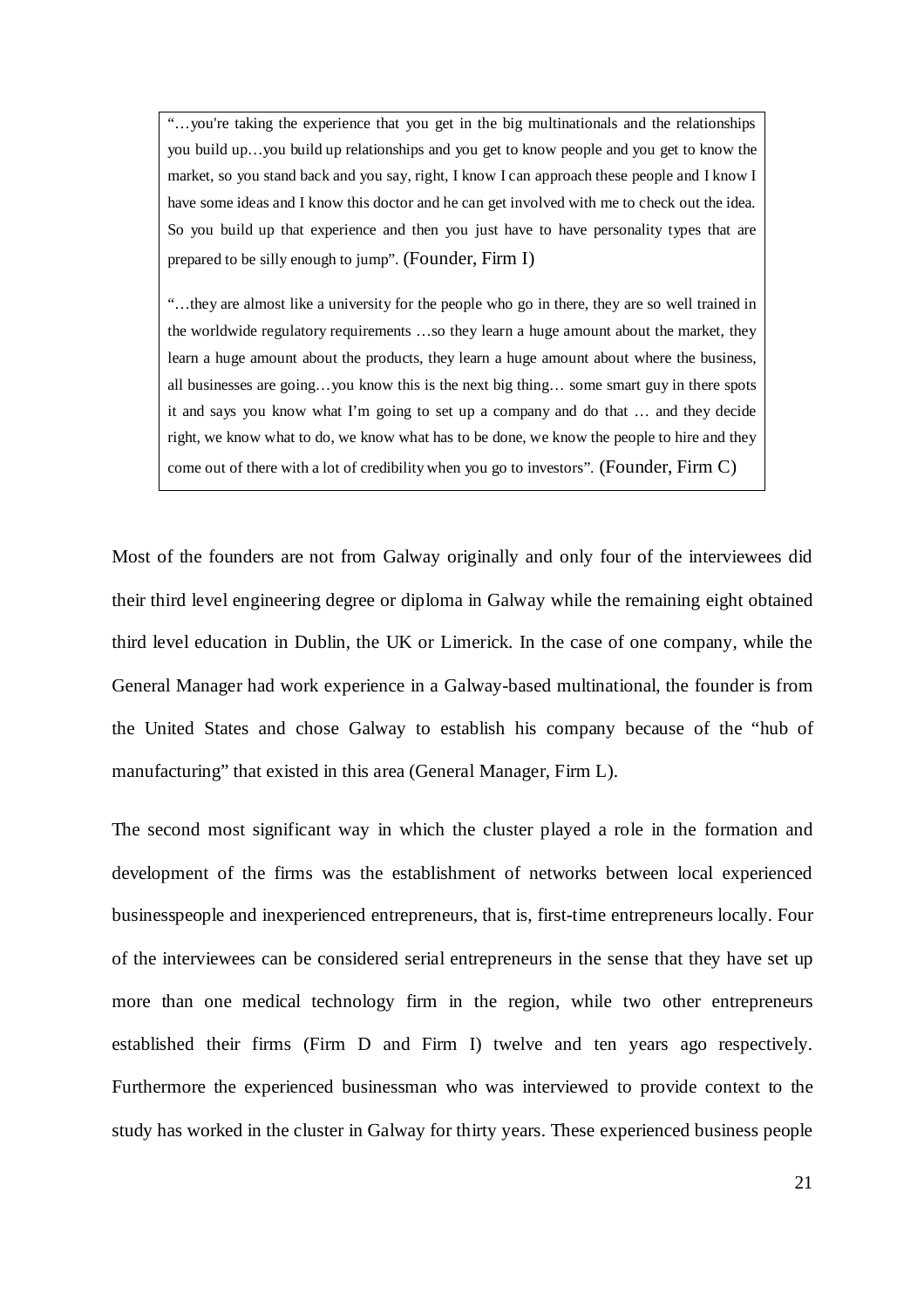"…you're taking the experience that you get in the big multinationals and the relationships you build up…you build up relationships and you get to know people and you get to know the market, so you stand back and you say, right, I know I can approach these people and I know I have some ideas and I know this doctor and he can get involved with me to check out the idea. So you build up that experience and then you just have to have personality types that are prepared to be silly enough to jump". (Founder, Firm I)

"…they are almost like a university for the people who go in there, they are so well trained in the worldwide regulatory requirements …so they learn a huge amount about the market, they learn a huge amount about the products, they learn a huge amount about where the business, all businesses are going…you know this is the next big thing… some smart guy in there spots it and says you know what I'm going to set up a company and do that … and they decide right, we know what to do, we know what has to be done, we know the people to hire and they come out of there with a lot of credibility when you go to investors". (Founder, Firm C)

Most of the founders are not from Galway originally and only four of the interviewees did their third level engineering degree or diploma in Galway while the remaining eight obtained third level education in Dublin, the UK or Limerick. In the case of one company, while the General Manager had work experience in a Galway-based multinational, the founder is from the United States and chose Galway to establish his company because of the "hub of manufacturing" that existed in this area (General Manager, Firm L).

The second most significant way in which the cluster played a role in the formation and development of the firms was the establishment of networks between local experienced businesspeople and inexperienced entrepreneurs, that is, first-time entrepreneurs locally. Four of the interviewees can be considered serial entrepreneurs in the sense that they have set up more than one medical technology firm in the region, while two other entrepreneurs established their firms (Firm D and Firm I) twelve and ten years ago respectively. Furthermore the experienced businessman who was interviewed to provide context to the study has worked in the cluster in Galway for thirty years. These experienced business people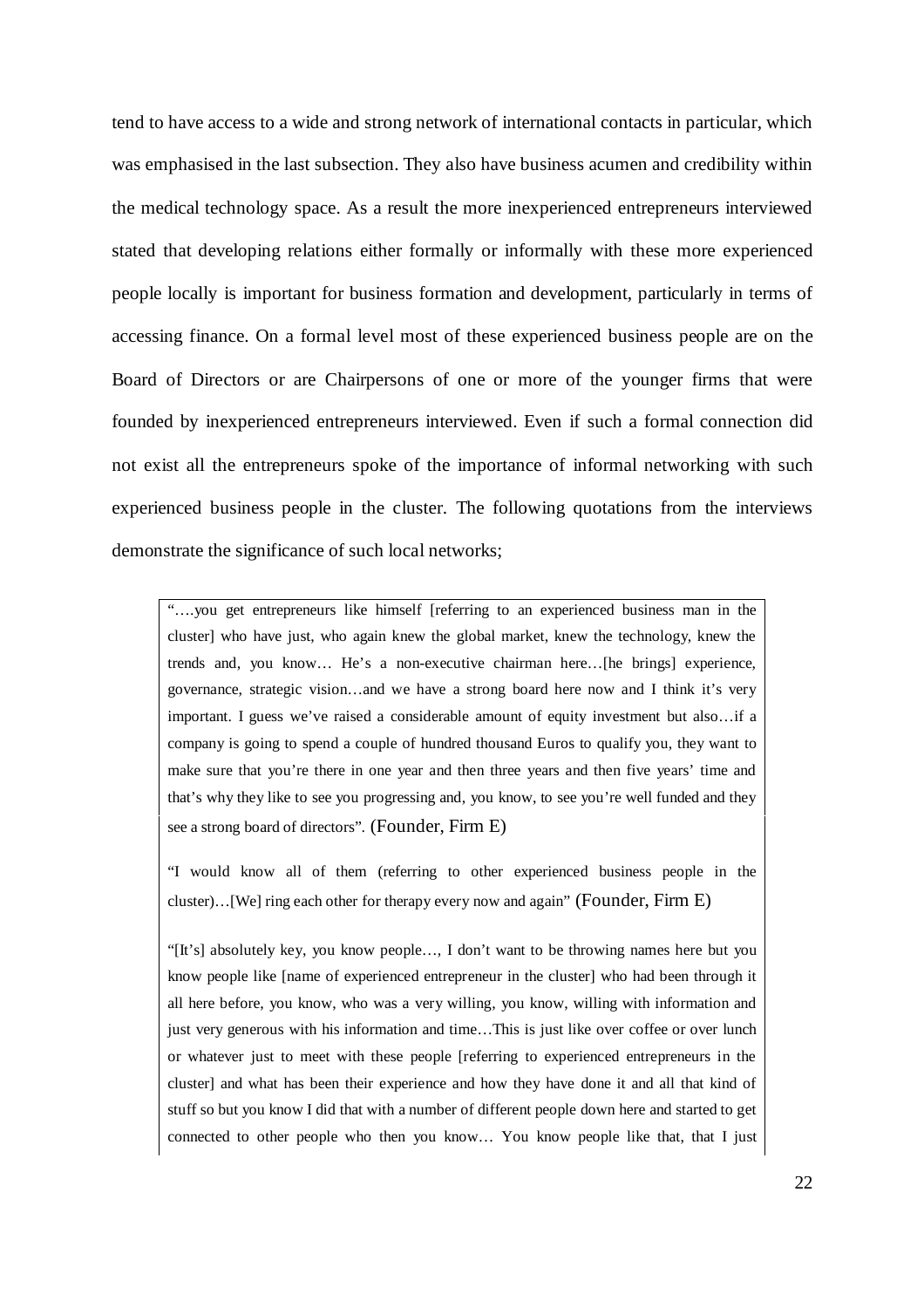tend to have access to a wide and strong network of international contacts in particular, which was emphasised in the last subsection. They also have business acumen and credibility within the medical technology space. As a result the more inexperienced entrepreneurs interviewed stated that developing relations either formally or informally with these more experienced people locally is important for business formation and development, particularly in terms of accessing finance. On a formal level most of these experienced business people are on the Board of Directors or are Chairpersons of one or more of the younger firms that were founded by inexperienced entrepreneurs interviewed. Even if such a formal connection did not exist all the entrepreneurs spoke of the importance of informal networking with such experienced business people in the cluster. The following quotations from the interviews demonstrate the significance of such local networks;

"….you get entrepreneurs like himself [referring to an experienced business man in the cluster] who have just, who again knew the global market, knew the technology, knew the trends and, you know… He's a non-executive chairman here…[he brings] experience, governance, strategic vision…and we have a strong board here now and I think it's very important. I guess we've raised a considerable amount of equity investment but also…if a company is going to spend a couple of hundred thousand Euros to qualify you, they want to make sure that you're there in one year and then three years and then five years' time and that's why they like to see you progressing and, you know, to see you're well funded and they see a strong board of directors". (Founder, Firm E)

"I would know all of them (referring to other experienced business people in the cluster)…[We] ring each other for therapy every now and again" (Founder, Firm E)

"[It's] absolutely key, you know people…, I don't want to be throwing names here but you know people like [name of experienced entrepreneur in the cluster] who had been through it all here before, you know, who was a very willing, you know, willing with information and just very generous with his information and time…This is just like over coffee or over lunch or whatever just to meet with these people [referring to experienced entrepreneurs in the cluster] and what has been their experience and how they have done it and all that kind of stuff so but you know I did that with a number of different people down here and started to get connected to other people who then you know… You know people like that, that I just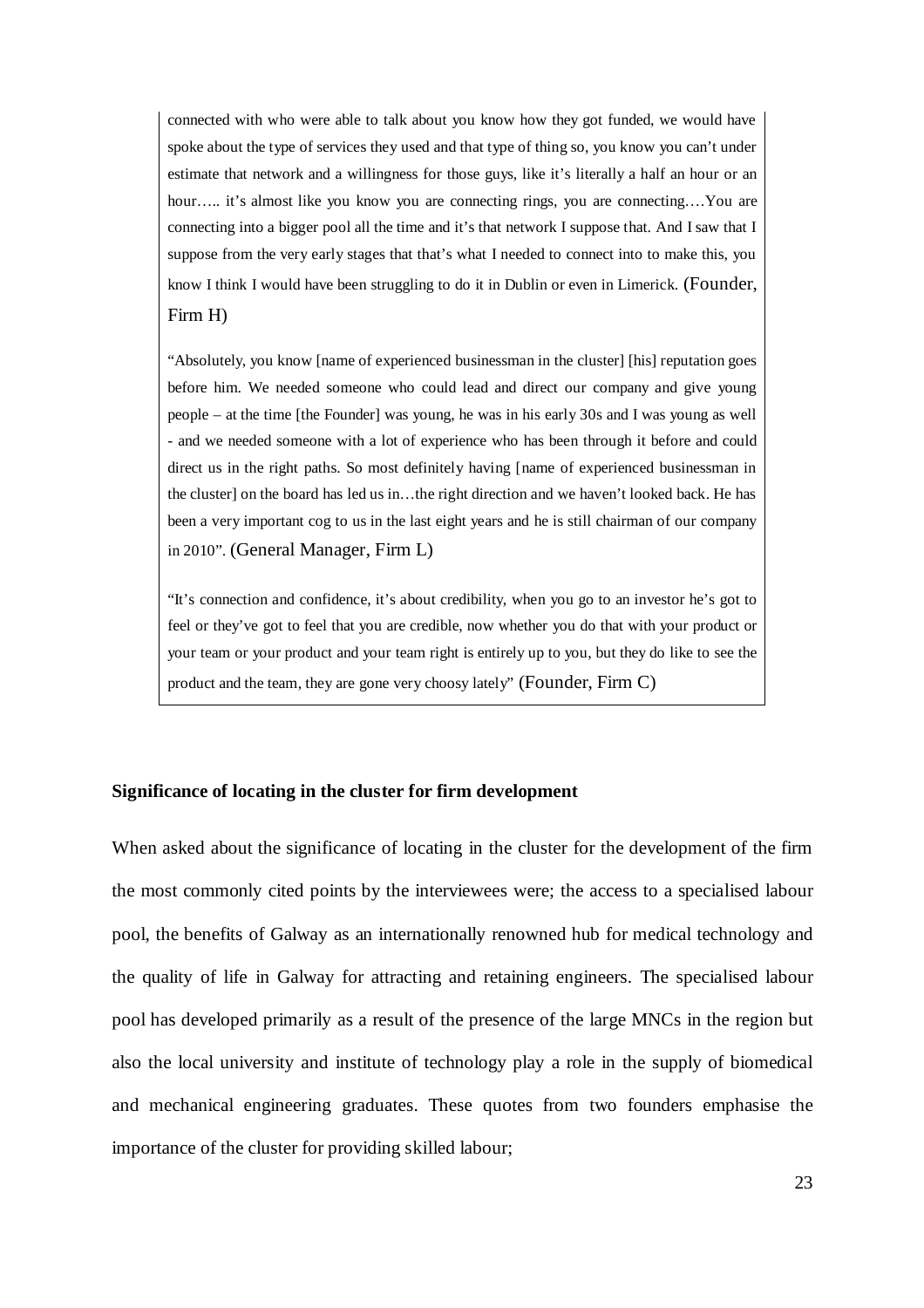connected with who were able to talk about you know how they got funded, we would have spoke about the type of services they used and that type of thing so, you know you can't under estimate that network and a willingness for those guys, like it's literally a half an hour or an hour….. it's almost like you know you are connecting rings, you are connecting….You are connecting into a bigger pool all the time and it's that network I suppose that. And I saw that I suppose from the very early stages that that's what I needed to connect into to make this, you know I think I would have been struggling to do it in Dublin or even in Limerick. (Founder, Firm H)

"Absolutely, you know [name of experienced businessman in the cluster] [his] reputation goes before him. We needed someone who could lead and direct our company and give young people – at the time [the Founder] was young, he was in his early 30s and I was young as well - and we needed someone with a lot of experience who has been through it before and could direct us in the right paths. So most definitely having [name of experienced businessman in the cluster] on the board has led us in…the right direction and we haven't looked back. He has been a very important cog to us in the last eight years and he is still chairman of our company in 2010". (General Manager, Firm L)

"It's connection and confidence, it's about credibility, when you go to an investor he's got to feel or they've got to feel that you are credible, now whether you do that with your product or your team or your product and your team right is entirely up to you, but they do like to see the product and the team, they are gone very choosy lately" (Founder, Firm C)

## **Significance of locating in the cluster for firm development**

When asked about the significance of locating in the cluster for the development of the firm the most commonly cited points by the interviewees were; the access to a specialised labour pool, the benefits of Galway as an internationally renowned hub for medical technology and the quality of life in Galway for attracting and retaining engineers. The specialised labour pool has developed primarily as a result of the presence of the large MNCs in the region but also the local university and institute of technology play a role in the supply of biomedical and mechanical engineering graduates. These quotes from two founders emphasise the importance of the cluster for providing skilled labour;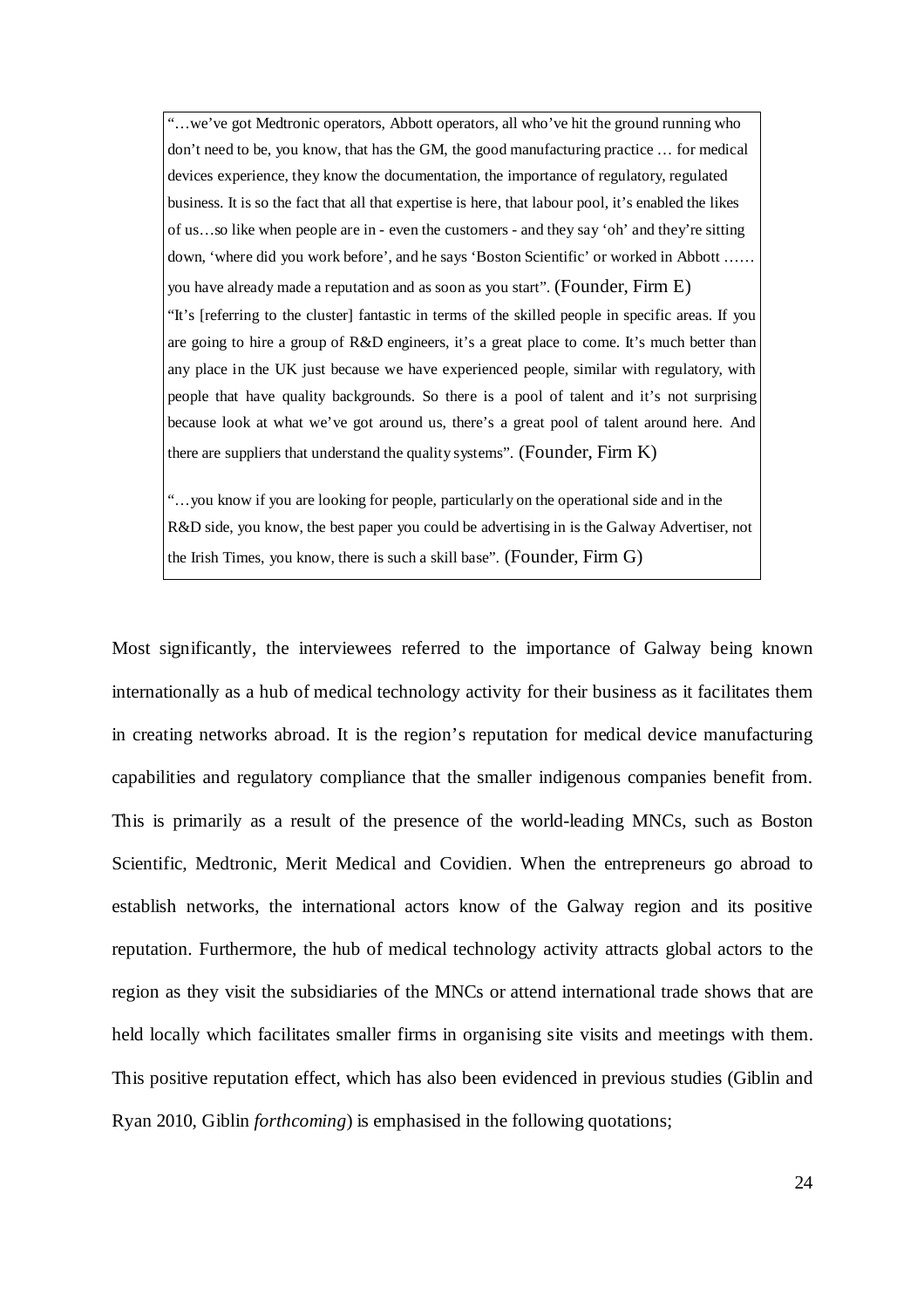"…we've got Medtronic operators, Abbott operators, all who've hit the ground running who don't need to be, you know, that has the GM, the good manufacturing practice … for medical devices experience, they know the documentation, the importance of regulatory, regulated business. It is so the fact that all that expertise is here, that labour pool, it's enabled the likes of us…so like when people are in - even the customers - and they say 'oh' and they're sitting down, 'where did you work before', and he says 'Boston Scientific' or worked in Abbott …… you have already made a reputation and as soon as you start". (Founder, Firm E) "It's [referring to the cluster] fantastic in terms of the skilled people in specific areas. If you are going to hire a group of R&D engineers, it's a great place to come. It's much better than any place in the UK just because we have experienced people, similar with regulatory, with people that have quality backgrounds. So there is a pool of talent and it's not surprising because look at what we've got around us, there's a great pool of talent around here. And there are suppliers that understand the quality systems". (Founder, Firm K)

"…you know if you are looking for people, particularly on the operational side and in the R&D side, you know, the best paper you could be advertising in is the Galway Advertiser, not the Irish Times, you know, there is such a skill base". (Founder, Firm  $G$ )

Most significantly, the interviewees referred to the importance of Galway being known internationally as a hub of medical technology activity for their business as it facilitates them in creating networks abroad. It is the region's reputation for medical device manufacturing capabilities and regulatory compliance that the smaller indigenous companies benefit from. This is primarily as a result of the presence of the world-leading MNCs, such as Boston Scientific, Medtronic, Merit Medical and Covidien. When the entrepreneurs go abroad to establish networks, the international actors know of the Galway region and its positive reputation. Furthermore, the hub of medical technology activity attracts global actors to the region as they visit the subsidiaries of the MNCs or attend international trade shows that are held locally which facilitates smaller firms in organising site visits and meetings with them. This positive reputation effect, which has also been evidenced in previous studies (Giblin and Ryan 2010, Giblin *forthcoming*) is emphasised in the following quotations;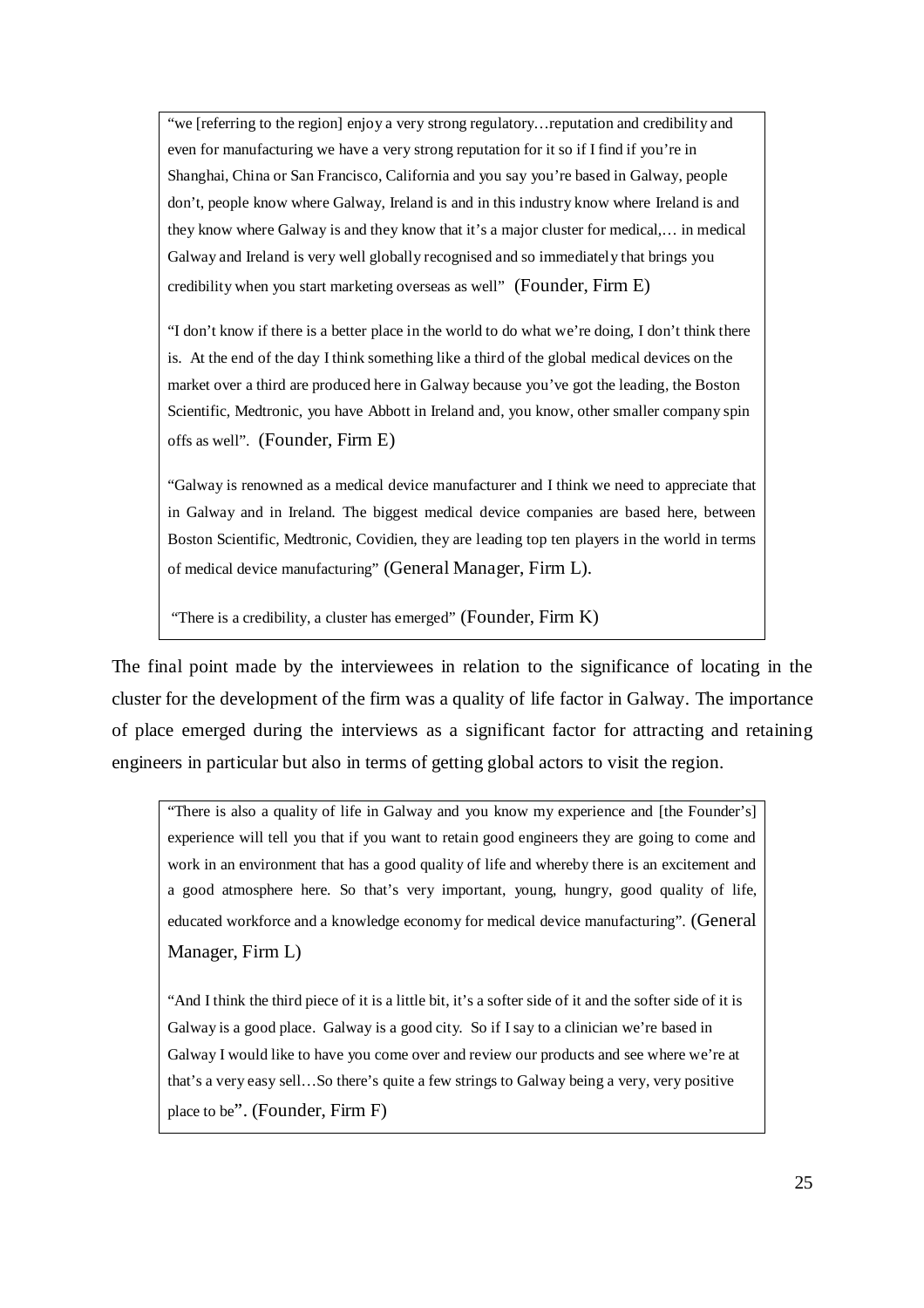"we [referring to the region] enjoy a very strong regulatory…reputation and credibility and even for manufacturing we have a very strong reputation for it so if I find if you're in Shanghai, China or San Francisco, California and you say you're based in Galway, people don't, people know where Galway, Ireland is and in this industry know where Ireland is and they know where Galway is and they know that it's a major cluster for medical,… in medical Galway and Ireland is very well globally recognised and so immediately that brings you credibility when you start marketing overseas as well" (Founder, Firm E)

"I don't know if there is a better place in the world to do what we're doing, I don't think there is. At the end of the day I think something like a third of the global medical devices on the market over a third are produced here in Galway because you've got the leading, the Boston Scientific, Medtronic, you have Abbott in Ireland and, you know, other smaller company spin offs as well". (Founder, Firm E)

"Galway is renowned as a medical device manufacturer and I think we need to appreciate that in Galway and in Ireland. The biggest medical device companies are based here, between Boston Scientific, Medtronic, Covidien, they are leading top ten players in the world in terms of medical device manufacturing" (General Manager, Firm L).

"There is a credibility, a cluster has emerged" (Founder, Firm K)

The final point made by the interviewees in relation to the significance of locating in the cluster for the development of the firm was a quality of life factor in Galway. The importance of place emerged during the interviews as a significant factor for attracting and retaining engineers in particular but also in terms of getting global actors to visit the region.

"There is also a quality of life in Galway and you know my experience and [the Founder's] experience will tell you that if you want to retain good engineers they are going to come and work in an environment that has a good quality of life and whereby there is an excitement and a good atmosphere here. So that's very important, young, hungry, good quality of life, educated workforce and a knowledge economy for medical device manufacturing". (General Manager, Firm L)

"And I think the third piece of it is a little bit, it's a softer side of it and the softer side of it is Galway is a good place. Galway is a good city. So if I say to a clinician we're based in Galway I would like to have you come over and review our products and see where we're at that's a very easy sell…So there's quite a few strings to Galway being a very, very positive place to be". (Founder, Firm F)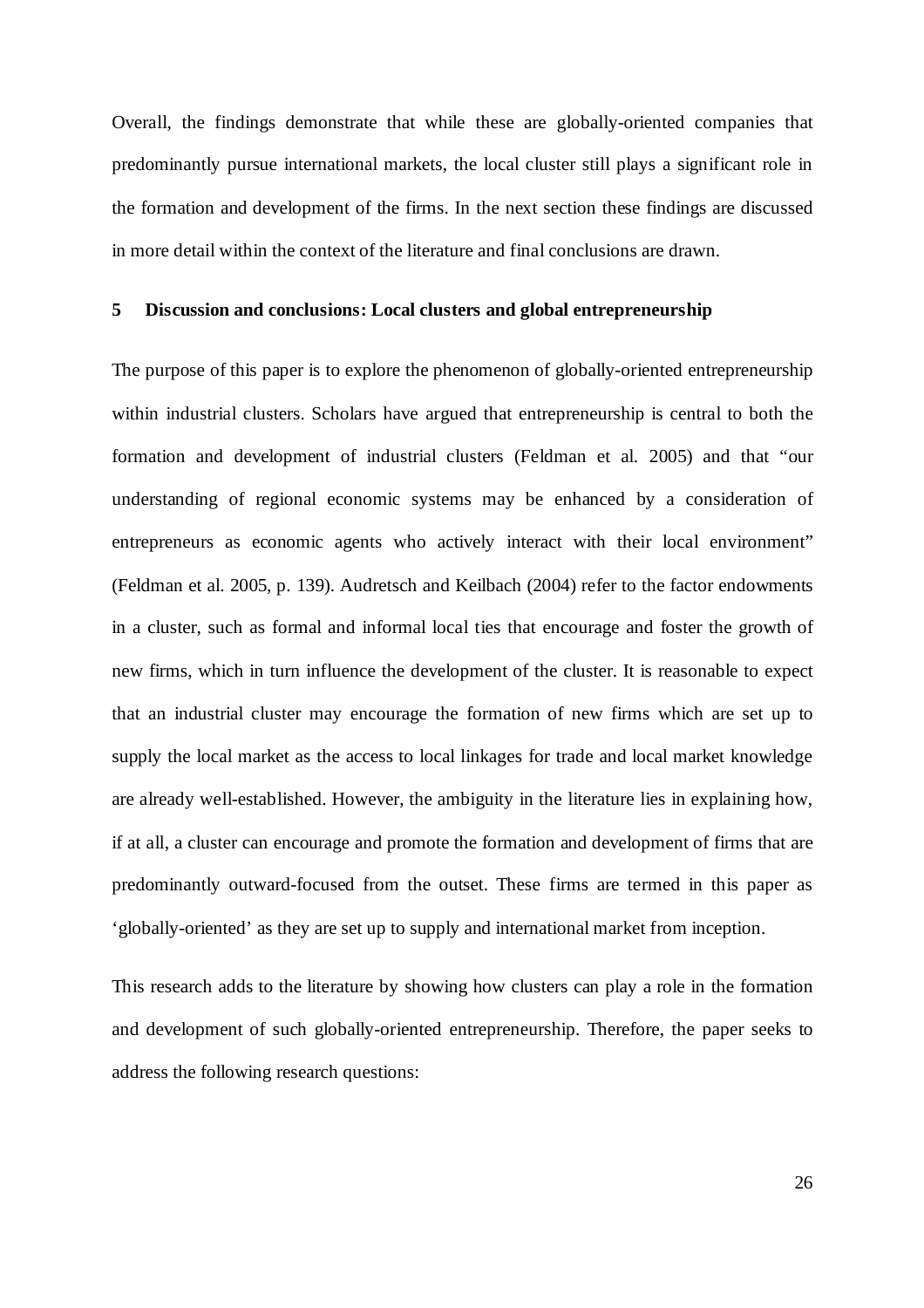Overall, the findings demonstrate that while these are globally-oriented companies that predominantly pursue international markets, the local cluster still plays a significant role in the formation and development of the firms. In the next section these findings are discussed in more detail within the context of the literature and final conclusions are drawn.

#### **5 Discussion and conclusions: Local clusters and global entrepreneurship**

The purpose of this paper is to explore the phenomenon of globally-oriented entrepreneurship within industrial clusters. Scholars have argued that entrepreneurship is central to both the formation and development of industrial clusters (Feldman et al. 2005) and that "our understanding of regional economic systems may be enhanced by a consideration of entrepreneurs as economic agents who actively interact with their local environment" (Feldman et al. 2005, p. 139). Audretsch and Keilbach (2004) refer to the factor endowments in a cluster, such as formal and informal local ties that encourage and foster the growth of new firms, which in turn influence the development of the cluster. It is reasonable to expect that an industrial cluster may encourage the formation of new firms which are set up to supply the local market as the access to local linkages for trade and local market knowledge are already well-established. However, the ambiguity in the literature lies in explaining how, if at all, a cluster can encourage and promote the formation and development of firms that are predominantly outward-focused from the outset. These firms are termed in this paper as 'globally-oriented' as they are set up to supply and international market from inception.

This research adds to the literature by showing how clusters can play a role in the formation and development of such globally-oriented entrepreneurship. Therefore, the paper seeks to address the following research questions: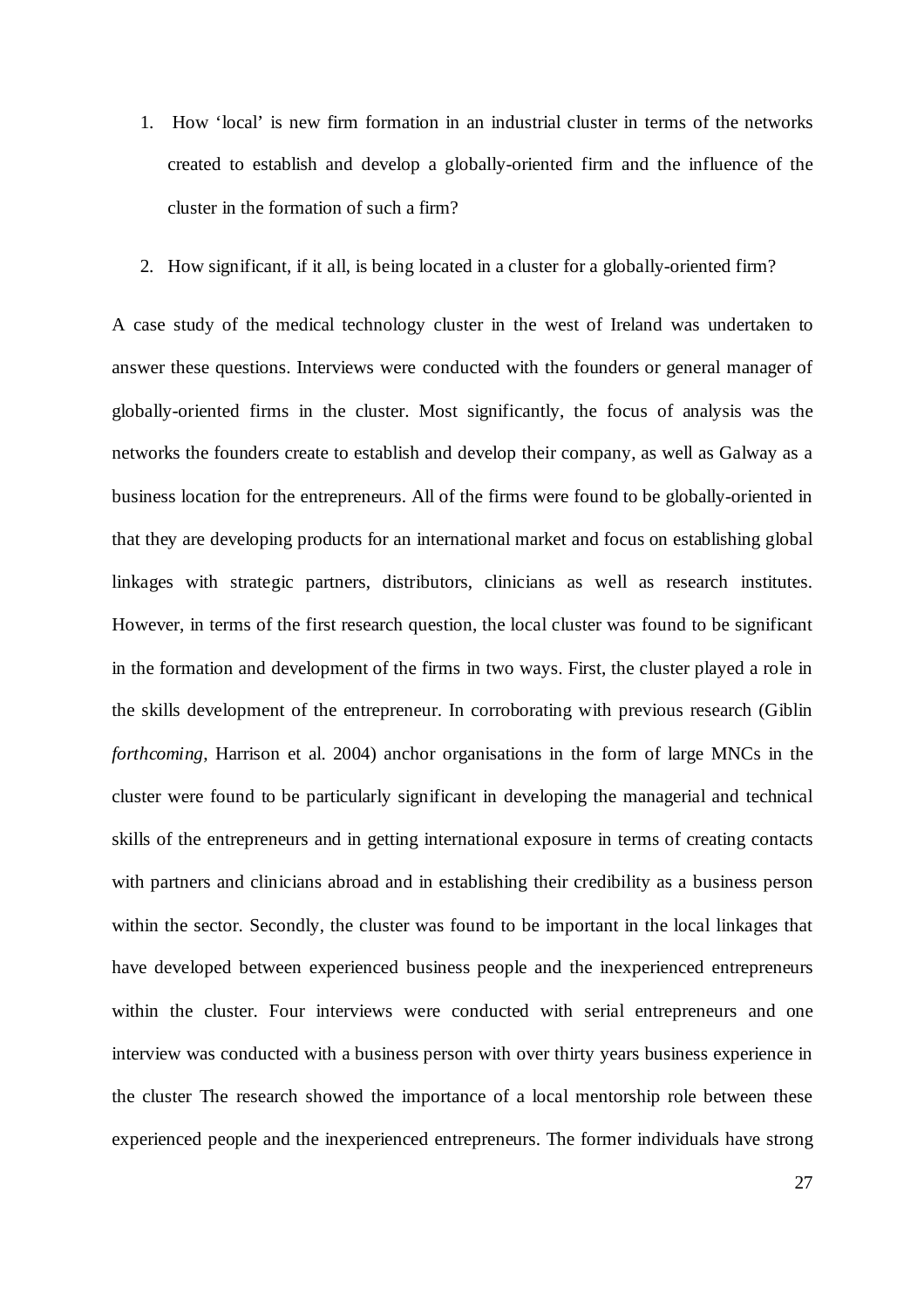- 1. How 'local' is new firm formation in an industrial cluster in terms of the networks created to establish and develop a globally-oriented firm and the influence of the cluster in the formation of such a firm?
- 2. How significant, if it all, is being located in a cluster for a globally-oriented firm?

A case study of the medical technology cluster in the west of Ireland was undertaken to answer these questions. Interviews were conducted with the founders or general manager of globally-oriented firms in the cluster. Most significantly, the focus of analysis was the networks the founders create to establish and develop their company, as well as Galway as a business location for the entrepreneurs. All of the firms were found to be globally-oriented in that they are developing products for an international market and focus on establishing global linkages with strategic partners, distributors, clinicians as well as research institutes. However, in terms of the first research question, the local cluster was found to be significant in the formation and development of the firms in two ways. First, the cluster played a role in the skills development of the entrepreneur. In corroborating with previous research (Giblin *forthcoming*, Harrison et al. 2004) anchor organisations in the form of large MNCs in the cluster were found to be particularly significant in developing the managerial and technical skills of the entrepreneurs and in getting international exposure in terms of creating contacts with partners and clinicians abroad and in establishing their credibility as a business person within the sector. Secondly, the cluster was found to be important in the local linkages that have developed between experienced business people and the inexperienced entrepreneurs within the cluster. Four interviews were conducted with serial entrepreneurs and one interview was conducted with a business person with over thirty years business experience in the cluster The research showed the importance of a local mentorship role between these experienced people and the inexperienced entrepreneurs. The former individuals have strong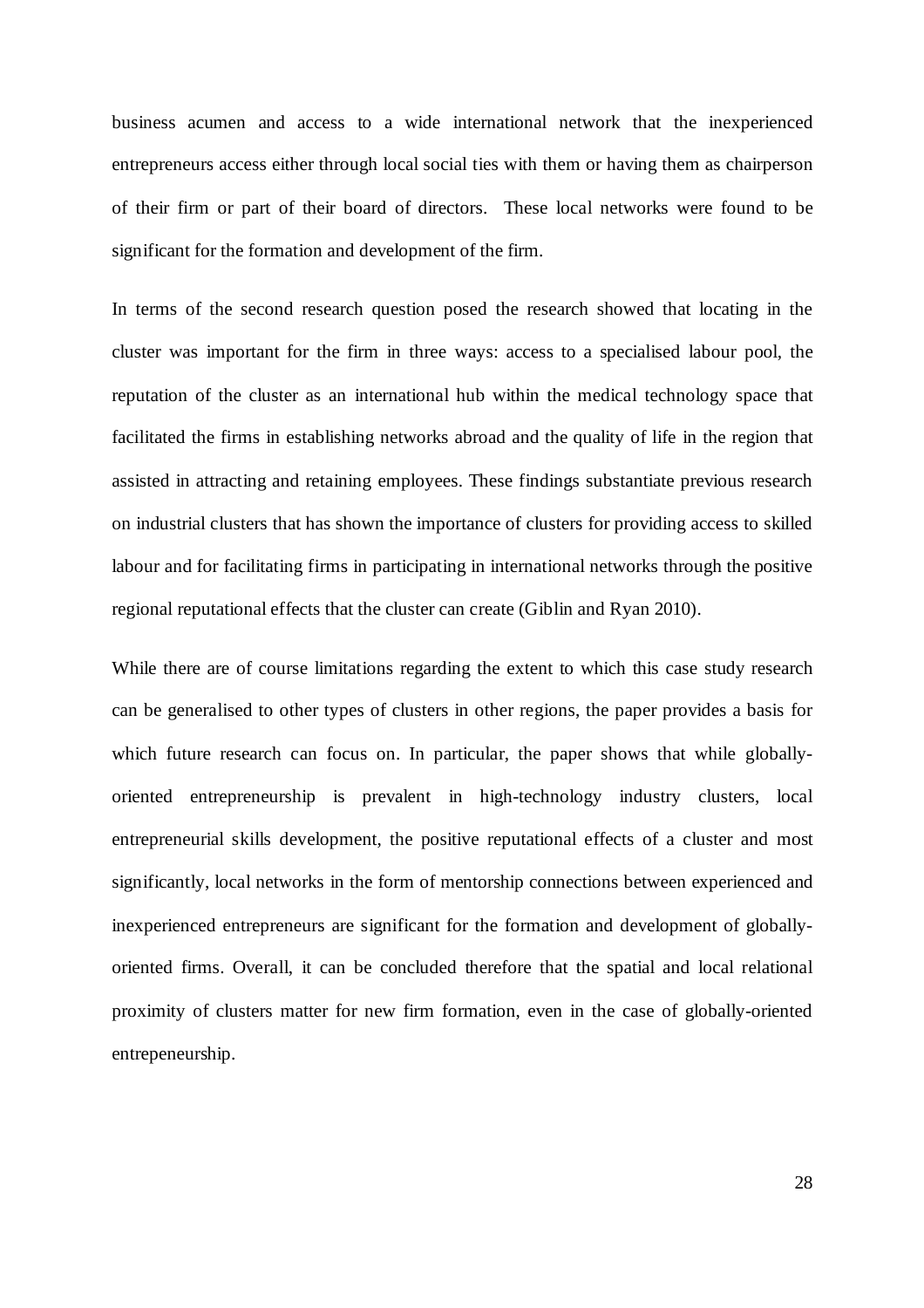business acumen and access to a wide international network that the inexperienced entrepreneurs access either through local social ties with them or having them as chairperson of their firm or part of their board of directors. These local networks were found to be significant for the formation and development of the firm.

In terms of the second research question posed the research showed that locating in the cluster was important for the firm in three ways: access to a specialised labour pool, the reputation of the cluster as an international hub within the medical technology space that facilitated the firms in establishing networks abroad and the quality of life in the region that assisted in attracting and retaining employees. These findings substantiate previous research on industrial clusters that has shown the importance of clusters for providing access to skilled labour and for facilitating firms in participating in international networks through the positive regional reputational effects that the cluster can create (Giblin and Ryan 2010).

While there are of course limitations regarding the extent to which this case study research can be generalised to other types of clusters in other regions, the paper provides a basis for which future research can focus on. In particular, the paper shows that while globallyoriented entrepreneurship is prevalent in high-technology industry clusters, local entrepreneurial skills development, the positive reputational effects of a cluster and most significantly, local networks in the form of mentorship connections between experienced and inexperienced entrepreneurs are significant for the formation and development of globallyoriented firms. Overall, it can be concluded therefore that the spatial and local relational proximity of clusters matter for new firm formation, even in the case of globally-oriented entrepeneurship.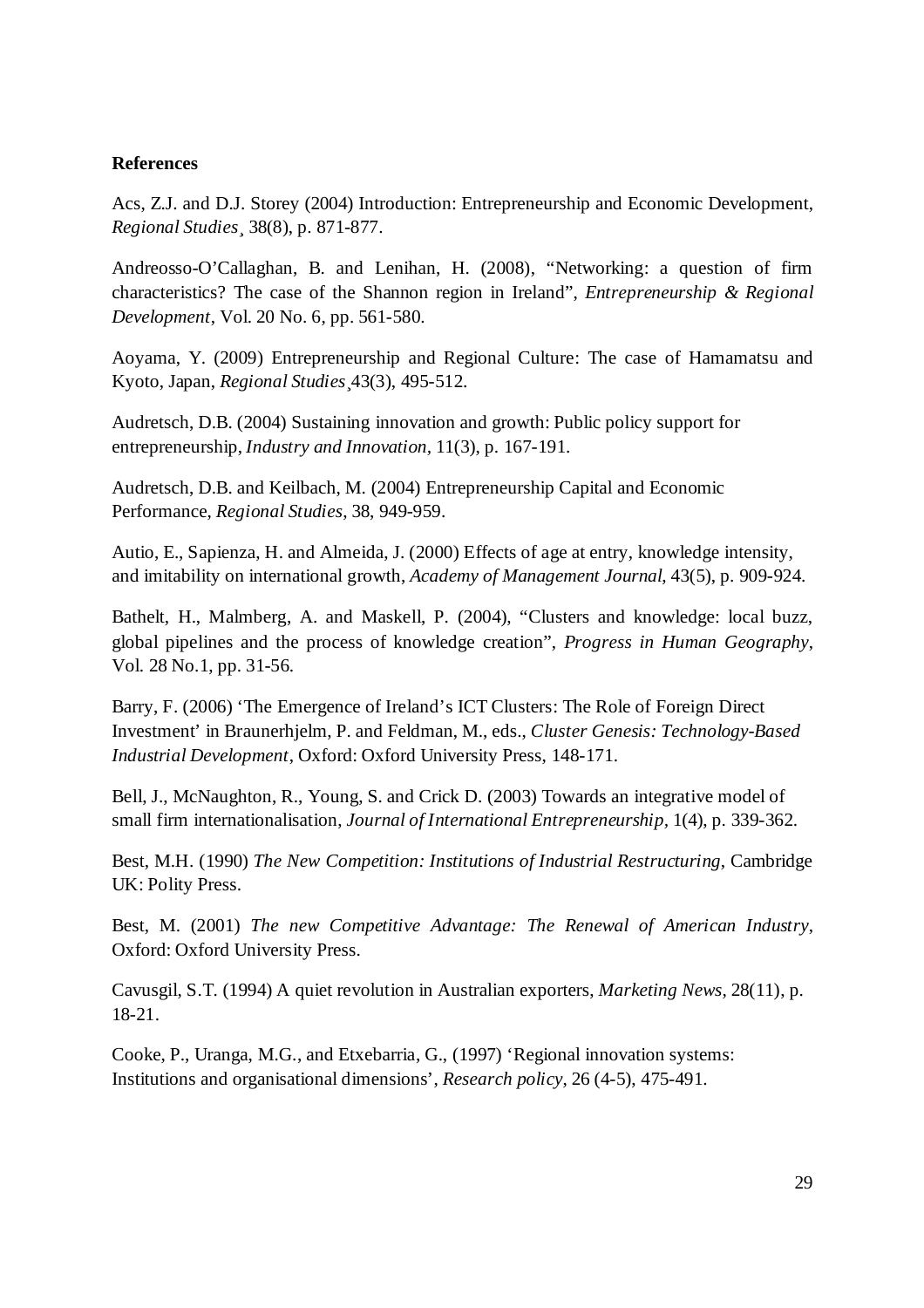## **References**

Acs, Z.J. and D.J. Storey (2004) Introduction: Entrepreneurship and Economic Development, *Regional Studies¸* 38(8), p. 871-877.

Andreosso-O'Callaghan, B. and Lenihan, H. (2008), "Networking: a question of firm characteristics? The case of the Shannon region in Ireland", *Entrepreneurship & Regional Development*, Vol. 20 No. 6, pp. 561-580.

Aoyama, Y. (2009) Entrepreneurship and Regional Culture: The case of Hamamatsu and Kyoto, Japan, *Regional Studies*¸43(3), 495-512.

Audretsch, D.B. (2004) Sustaining innovation and growth: Public policy support for entrepreneurship, *Industry and Innovation,* 11(3), p. 167-191.

Audretsch, D.B. and Keilbach, M. (2004) Entrepreneurship Capital and Economic Performance, *Regional Studies*, 38, 949-959.

Autio, E., Sapienza, H. and Almeida, J. (2000) Effects of age at entry, knowledge intensity, and imitability on international growth, *Academy of Management Journal*, 43(5), p. 909-924.

Bathelt, H., Malmberg, A. and Maskell, P. (2004), "Clusters and knowledge: local buzz, global pipelines and the process of knowledge creation", *Progress in Human Geography*, Vol. 28 No.1, pp. 31-56.

Barry, F. (2006) 'The Emergence of Ireland's ICT Clusters: The Role of Foreign Direct Investment' in Braunerhjelm, P. and Feldman, M., eds., *Cluster Genesis: Technology-Based Industrial Development*, Oxford: Oxford University Press, 148-171.

Bell, J., McNaughton, R., Young, S. and Crick D. (2003) Towards an integrative model of small firm internationalisation, *Journal of International Entrepreneurship,* 1(4), p. 339-362.

Best, M.H. (1990) *The New Competition: Institutions of Industrial Restructuring*, Cambridge UK: Polity Press.

Best, M. (2001) *The new Competitive Advantage: The Renewal of American Industry*, Oxford: Oxford University Press.

Cavusgil, S.T. (1994) A quiet revolution in Australian exporters, *Marketing News,* 28(11), p. 18-21.

Cooke, P., Uranga, M.G., and Etxebarria, G., (1997) 'Regional innovation systems: Institutions and organisational dimensions', *Research policy*, 26 (4-5), 475-491.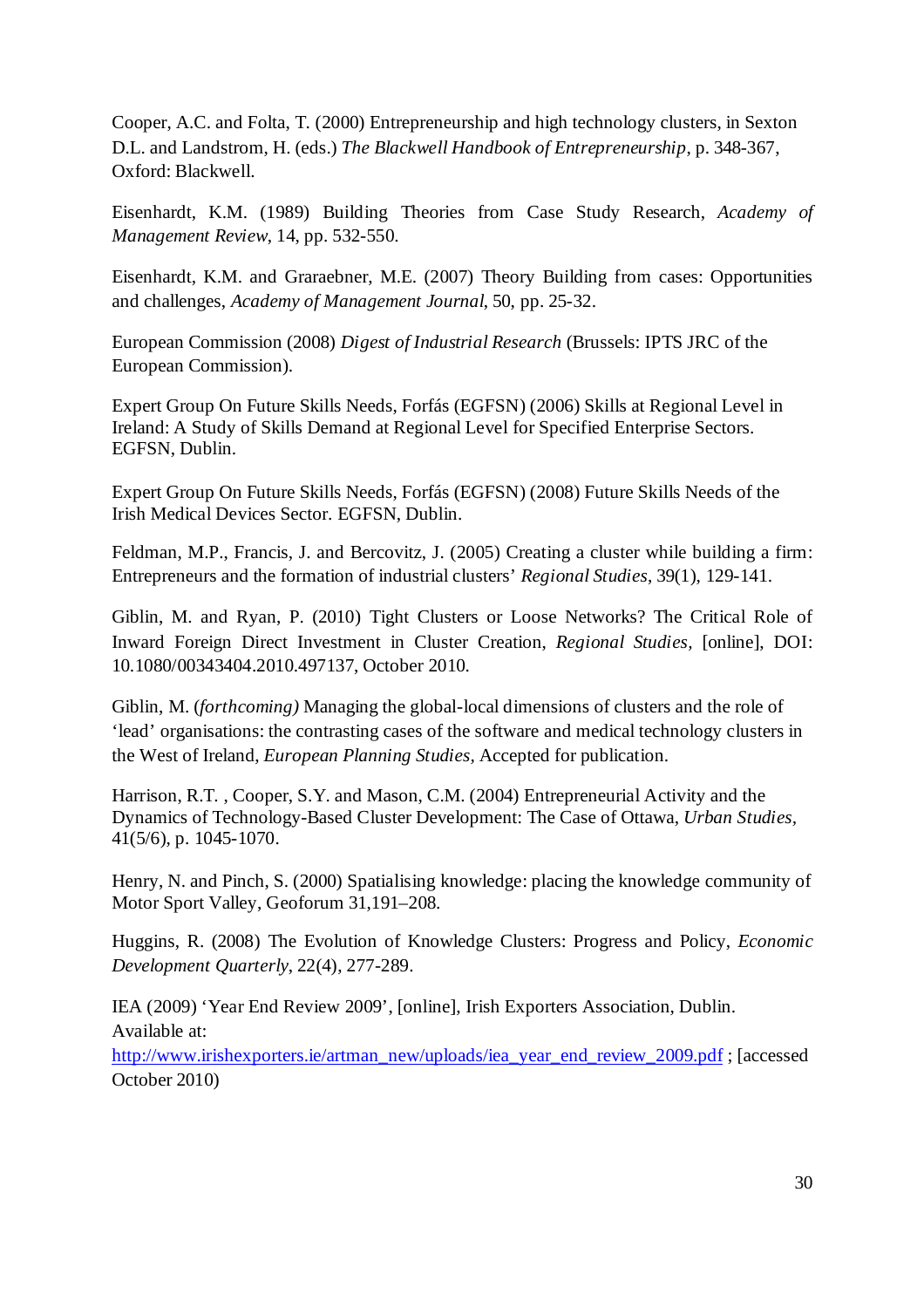Cooper, A.C. and Folta, T. (2000) Entrepreneurship and high technology clusters, in Sexton D.L. and Landstrom, H. (eds.) *The Blackwell Handbook of Entrepreneurship*, p. 348-367, Oxford: Blackwell.

Eisenhardt, K.M. (1989) Building Theories from Case Study Research, *Academy of Management Review*, 14, pp. 532-550.

Eisenhardt, K.M. and Graraebner, M.E. (2007) Theory Building from cases: Opportunities and challenges, *Academy of Management Journal*, 50, pp. 25-32.

European Commission (2008) *Digest of Industrial Research* (Brussels: IPTS JRC of the European Commission).

Expert Group On Future Skills Needs, Forfás (EGFSN) (2006) Skills at Regional Level in Ireland: A Study of Skills Demand at Regional Level for Specified Enterprise Sectors. EGFSN, Dublin.

Expert Group On Future Skills Needs, Forfás (EGFSN) (2008) Future Skills Needs of the Irish Medical Devices Sector. EGFSN, Dublin.

Feldman, M.P., Francis, J. and Bercovitz, J. (2005) Creating a cluster while building a firm: Entrepreneurs and the formation of industrial clusters' *Regional Studies*, 39(1), 129-141.

Giblin, M. and Ryan, P. (2010) Tight Clusters or Loose Networks? The Critical Role of Inward Foreign Direct Investment in Cluster Creation, *Regional Studies,* [online], DOI: 10.1080/00343404.2010.497137, October 2010.

Giblin, M. (*forthcoming)* Managing the global-local dimensions of clusters and the role of 'lead' organisations: the contrasting cases of the software and medical technology clusters in the West of Ireland, *European Planning Studies,* Accepted for publication.

Harrison, R.T. , Cooper, S.Y. and Mason, C.M. (2004) Entrepreneurial Activity and the Dynamics of Technology-Based Cluster Development: The Case of Ottawa, *Urban Studies,* 41(5/6), p. 1045-1070.

Henry, N. and Pinch, S. (2000) Spatialising knowledge: placing the knowledge community of Motor Sport Valley, Geoforum 31,191–208.

Huggins, R. (2008) The Evolution of Knowledge Clusters: Progress and Policy, *Economic Development Quarterly*, 22(4), 277-289.

IEA (2009) 'Year End Review 2009', [online], Irish Exporters Association, Dublin. Available at:

[http://www.irishexporters.ie/artman\\_new/uploads/iea\\_year\\_end\\_review\\_2009.pdf](http://www.irishexporters.ie/artman_new/uploads/iea_year_end_review_2009.pdf) ; [accessed October 2010)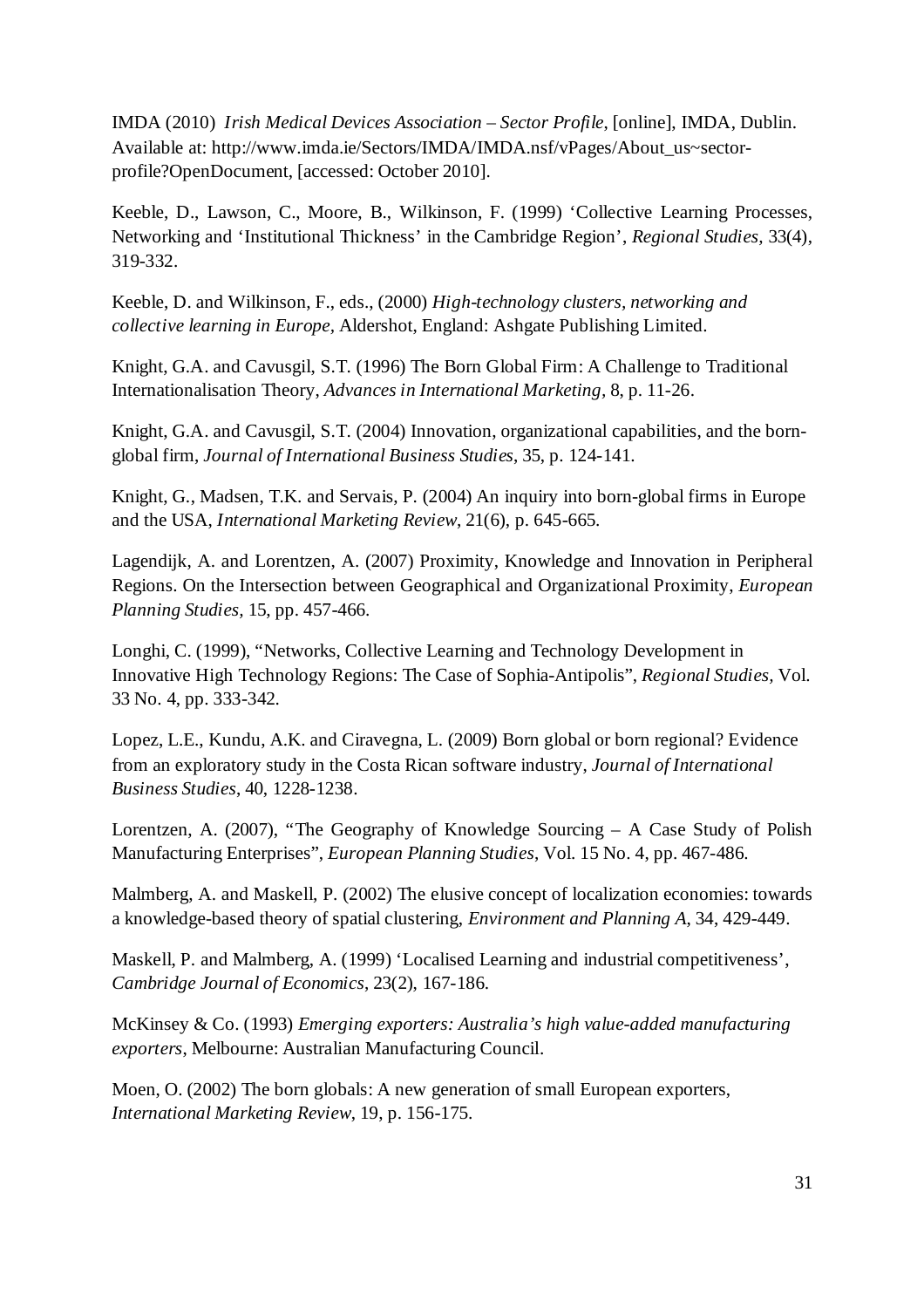IMDA (2010) *Irish Medical Devices Association – Sector Profile*, [online], IMDA, Dublin. Available at: http://www.imda.ie/Sectors/IMDA/IMDA.nsf/vPages/About\_us~sectorprofile?OpenDocument, [accessed: October 2010].

Keeble, D., Lawson, C., Moore, B., Wilkinson, F. (1999) 'Collective Learning Processes, Networking and 'Institutional Thickness' in the Cambridge Region', *Regional Studies,* 33(4), 319-332.

Keeble, D. and Wilkinson, F., eds., (2000) *High-technology clusters, networking and collective learning in Europe,* Aldershot, England: Ashgate Publishing Limited.

Knight, G.A. and Cavusgil, S.T. (1996) The Born Global Firm: A Challenge to Traditional Internationalisation Theory, *Advances in International Marketing,* 8, p. 11-26.

Knight, G.A. and Cavusgil, S.T. (2004) Innovation, organizational capabilities, and the bornglobal firm, *Journal of International Business Studies*, 35, p. 124-141.

Knight, G., Madsen, T.K. and Servais, P. (2004) An inquiry into born-global firms in Europe and the USA, *International Marketing Review*, 21(6), p. 645-665.

Lagendijk, A. and Lorentzen, A. (2007) Proximity, Knowledge and Innovation in Peripheral Regions. On the Intersection between Geographical and Organizational Proximity, *European Planning Studies,* 15, pp. 457-466.

Longhi, C. (1999), "Networks, Collective Learning and Technology Development in Innovative High Technology Regions: The Case of Sophia-Antipolis", *Regional Studies,* Vol. 33 No. 4, pp. 333-342.

Lopez, L.E., Kundu, A.K. and Ciravegna, L. (2009) Born global or born regional? Evidence from an exploratory study in the Costa Rican software industry, *Journal of International Business Studies*, 40, 1228-1238.

Lorentzen, A. (2007), "The Geography of Knowledge Sourcing – A Case Study of Polish Manufacturing Enterprises", *European Planning Studies*, Vol. 15 No. 4, pp. 467-486.

Malmberg, A. and Maskell, P. (2002) The elusive concept of localization economies: towards a knowledge-based theory of spatial clustering, *Environment and Planning A*, 34, 429-449.

Maskell, P. and Malmberg, A. (1999) 'Localised Learning and industrial competitiveness', *Cambridge Journal of Economics*, 23(2), 167-186.

McKinsey & Co. (1993) *Emerging exporters: Australia's high value-added manufacturing exporters*, Melbourne: Australian Manufacturing Council.

Moen, O. (2002) The born globals: A new generation of small European exporters, *International Marketing Review*, 19, p. 156-175.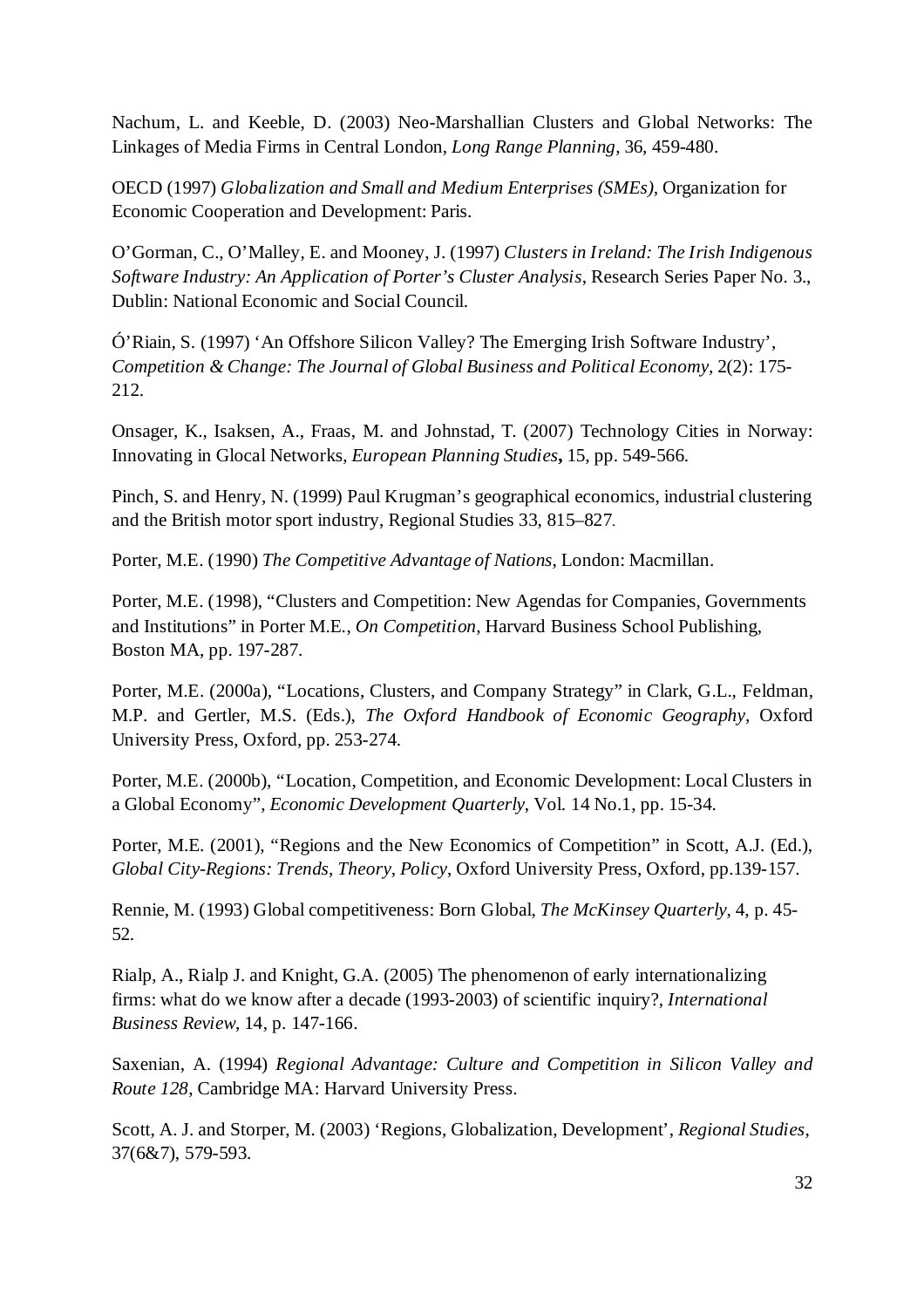Nachum, L. and Keeble, D. (2003) Neo-Marshallian Clusters and Global Networks: The Linkages of Media Firms in Central London, *Long Range Planning*, 36, 459-480.

OECD (1997) *Globalization and Small and Medium Enterprises (SMEs),* Organization for Economic Cooperation and Development: Paris.

O'Gorman, C., O'Malley, E. and Mooney, J. (1997) *Clusters in Ireland: The Irish Indigenous Software Industry: An Application of Porter's Cluster Analysis*, Research Series Paper No. 3., Dublin: National Economic and Social Council.

Ó'Riain, S. (1997) 'An Offshore Silicon Valley? The Emerging Irish Software Industry', *Competition & Change: The Journal of Global Business and Political Economy,* 2(2): 175- 212.

Onsager, K., Isaksen, A., Fraas, M. and Johnstad, T. (2007) Technology Cities in Norway: Innovating in Glocal Networks, *European Planning Studies***,** 15, pp. 549-566.

Pinch, S. and Henry, N. (1999) Paul Krugman's geographical economics, industrial clustering and the British motor sport industry, Regional Studies 33, 815–827.

Porter, M.E. (1990) *The Competitive Advantage of Nations*, London: Macmillan.

Porter, M.E. (1998), "Clusters and Competition: New Agendas for Companies, Governments and Institutions" in Porter M.E., *On Competition,* Harvard Business School Publishing, Boston MA, pp. 197-287.

Porter, M.E. (2000a), "Locations, Clusters, and Company Strategy" in Clark, G.L., Feldman, M.P. and Gertler, M.S. (Eds.), *The Oxford Handbook of Economic Geography*, Oxford University Press, Oxford, pp. 253-274.

Porter, M.E. (2000b), "Location, Competition, and Economic Development: Local Clusters in a Global Economy", *Economic Development Quarterly*, Vol. 14 No.1, pp. 15-34.

Porter, M.E. (2001), "Regions and the New Economics of Competition" in Scott, A.J. (Ed.), *Global City-Regions: Trends, Theory, Policy*, Oxford University Press, Oxford, pp.139-157.

Rennie, M. (1993) Global competitiveness: Born Global, *The McKinsey Quarterly*, 4, p. 45- 52.

Rialp, A., Rialp J. and Knight, G.A. (2005) The phenomenon of early internationalizing firms: what do we know after a decade (1993-2003) of scientific inquiry?, *International Business Review*, 14, p. 147-166.

Saxenian, A. (1994) *Regional Advantage: Culture and Competition in Silicon Valley and Route 128*, Cambridge MA: Harvard University Press.

Scott, A. J. and Storper, M. (2003) 'Regions, Globalization, Development', *Regional Studies*, 37(6&7), 579-593.